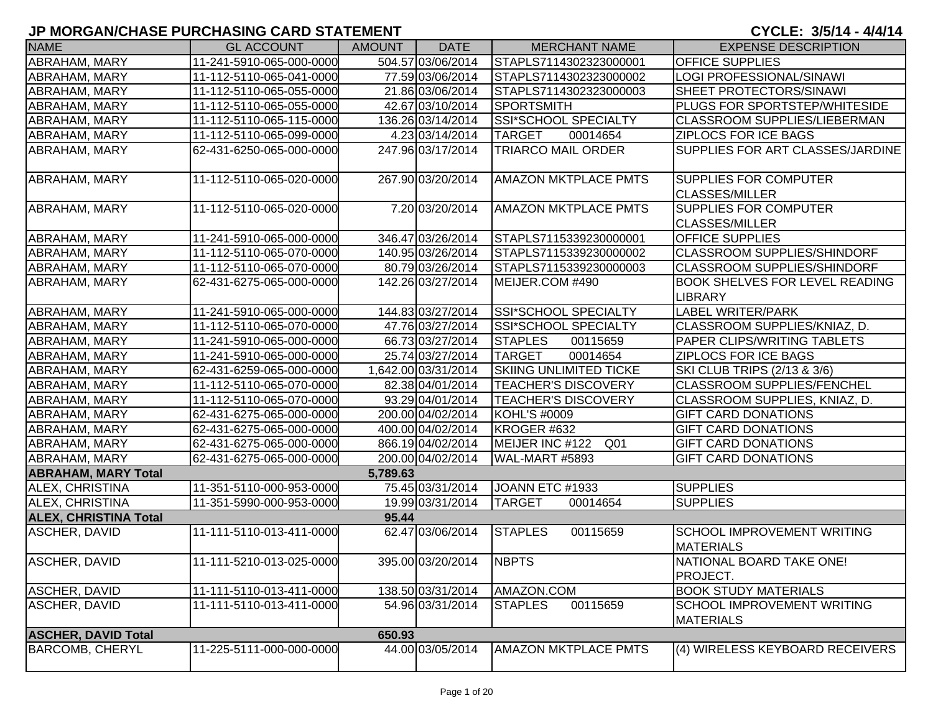| <b>NAME</b>                  | <b>GL ACCOUNT</b>        | <b>AMOUNT</b> | <b>DATE</b>         | <b>MERCHANT NAME</b>               | <b>EXPENSE DESCRIPTION</b>                              |
|------------------------------|--------------------------|---------------|---------------------|------------------------------------|---------------------------------------------------------|
| ABRAHAM, MARY                | 11-241-5910-065-000-0000 |               | 504.57 03/06/2014   | STAPLS7114302323000001             | <b>OFFICE SUPPLIES</b>                                  |
| ABRAHAM, MARY                | 11-112-5110-065-041-0000 |               | 77.59 03/06/2014    | STAPLS7114302323000002             | LOGI PROFESSIONAL/SINAWI                                |
| ABRAHAM, MARY                | 11-112-5110-065-055-0000 |               | 21.86 03/06/2014    | STAPLS7114302323000003             | SHEET PROTECTORS/SINAWI                                 |
| ABRAHAM, MARY                | 11-112-5110-065-055-0000 |               | 42.67 03/10/2014    | <b>SPORTSMITH</b>                  | <b>PLUGS FOR SPORTSTEP/WHITESIDE</b>                    |
| ABRAHAM, MARY                | 11-112-5110-065-115-0000 |               | 136.26 03/14/2014   | <b>SSI*SCHOOL SPECIALTY</b>        | <b>CLASSROOM SUPPLIES/LIEBERMAN</b>                     |
| ABRAHAM, MARY                | 11-112-5110-065-099-0000 |               | 4.23 03/14/2014     | <b>TARGET</b><br>00014654          | <b>ZIPLOCS FOR ICE BAGS</b>                             |
| ABRAHAM, MARY                | 62-431-6250-065-000-0000 |               | 247.96 03/17/2014   | <b>TRIARCO MAIL ORDER</b>          | SUPPLIES FOR ART CLASSES/JARDINE                        |
| ABRAHAM, MARY                | 11-112-5110-065-020-0000 |               | 267.90 03/20/2014   | <b>AMAZON MKTPLACE PMTS</b>        | <b>SUPPLIES FOR COMPUTER</b><br><b>CLASSES/MILLER</b>   |
| ABRAHAM, MARY                | 11-112-5110-065-020-0000 |               | 7.20 03/20/2014     | <b>AMAZON MKTPLACE PMTS</b>        | <b>SUPPLIES FOR COMPUTER</b><br><b>CLASSES/MILLER</b>   |
| ABRAHAM, MARY                | 11-241-5910-065-000-0000 |               | 346.47 03/26/2014   | STAPLS7115339230000001             | <b>OFFICE SUPPLIES</b>                                  |
| ABRAHAM, MARY                | 11-112-5110-065-070-0000 |               | 140.95 03/26/2014   | STAPLS7115339230000002             | CLASSROOM SUPPLIES/SHINDORF                             |
| ABRAHAM, MARY                | 11-112-5110-065-070-0000 |               | 80.79 03/26/2014    | STAPLS7115339230000003             | <b>CLASSROOM SUPPLIES/SHINDORF</b>                      |
| ABRAHAM, MARY                | 62-431-6275-065-000-0000 |               | 142.26 03/27/2014   | MEIJER.COM #490                    | <b>BOOK SHELVES FOR LEVEL READING</b><br><b>LIBRARY</b> |
| ABRAHAM, MARY                | 11-241-5910-065-000-0000 |               | 144.83 03/27/2014   | SSI*SCHOOL SPECIALTY               | <b>LABEL WRITER/PARK</b>                                |
| ABRAHAM, MARY                | 11-112-5110-065-070-0000 |               | 47.76 03/27/2014    | <b>SSI*SCHOOL SPECIALTY</b>        | CLASSROOM SUPPLIES/KNIAZ, D.                            |
| ABRAHAM, MARY                | 11-241-5910-065-000-0000 |               | 66.73 03/27/2014    | <b>STAPLES</b><br>00115659         | PAPER CLIPS/WRITING TABLETS                             |
| ABRAHAM, MARY                | 11-241-5910-065-000-0000 |               | 25.74 03/27/2014    | <b>TARGET</b><br>00014654          | <b>ZIPLOCS FOR ICE BAGS</b>                             |
| ABRAHAM, MARY                | 62-431-6259-065-000-0000 |               | 1,642.00 03/31/2014 | <b>SKIING UNLIMITED TICKE</b>      | SKI CLUB TRIPS (2/13 & 3/6)                             |
| ABRAHAM, MARY                | 11-112-5110-065-070-0000 |               | 82.38 04/01/2014    | <b>TEACHER'S DISCOVERY</b>         | <b>CLASSROOM SUPPLIES/FENCHEL</b>                       |
| ABRAHAM, MARY                | 11-112-5110-065-070-0000 |               | 93.29 04/01/2014    | <b>TEACHER'S DISCOVERY</b>         | CLASSROOM SUPPLIES, KNIAZ, D.                           |
| ABRAHAM, MARY                | 62-431-6275-065-000-0000 |               | 200.00 04/02/2014   | KOHL'S #0009                       | <b>GIFT CARD DONATIONS</b>                              |
| ABRAHAM, MARY                | 62-431-6275-065-000-0000 |               | 400.00 04/02/2014   | KROGER #632                        | <b>GIFT CARD DONATIONS</b>                              |
| ABRAHAM, MARY                | 62-431-6275-065-000-0000 |               | 866.19 04/02/2014   | MEIJER INC #122<br>Q <sub>01</sub> | <b>GIFT CARD DONATIONS</b>                              |
| ABRAHAM, MARY                | 62-431-6275-065-000-0000 |               | 200.00 04/02/2014   | WAL-MART #5893                     | <b>GIFT CARD DONATIONS</b>                              |
| <b>ABRAHAM, MARY Total</b>   |                          | 5,789.63      |                     |                                    |                                                         |
| <b>ALEX, CHRISTINA</b>       | 11-351-5110-000-953-0000 |               | 75.45 03/31/2014    | JOANN ETC #1933                    | <b>SUPPLIES</b>                                         |
| ALEX, CHRISTINA              | 11-351-5990-000-953-0000 |               | 19.99 03/31/2014    | <b>TARGET</b><br>00014654          | <b>SUPPLIES</b>                                         |
| <b>ALEX, CHRISTINA Total</b> |                          | 95.44         |                     |                                    |                                                         |
| ASCHER, DAVID                | 11-111-5110-013-411-0000 |               | 62.47 03/06/2014    | <b>STAPLES</b><br>00115659         | <b>SCHOOL IMPROVEMENT WRITING</b><br><b>MATERIALS</b>   |
| <b>ASCHER, DAVID</b>         | 11-111-5210-013-025-0000 |               | 395.00 03/20/2014   | <b>NBPTS</b>                       | NATIONAL BOARD TAKE ONE!<br>PROJECT.                    |
| ASCHER, DAVID                | 11-111-5110-013-411-0000 |               | 138.50 03/31/2014   | AMAZON.COM                         | <b>BOOK STUDY MATERIALS</b>                             |
| ASCHER, DAVID                | 11-111-5110-013-411-0000 |               | 54.96 03/31/2014    | 00115659<br><b>STAPLES</b>         | <b>SCHOOL IMPROVEMENT WRITING</b><br><b>MATERIALS</b>   |
| <b>ASCHER, DAVID Total</b>   |                          | 650.93        |                     |                                    |                                                         |
| <b>BARCOMB, CHERYL</b>       | 11-225-5111-000-000-0000 |               | 44.00 03/05/2014    | <b>AMAZON MKTPLACE PMTS</b>        | (4) WIRELESS KEYBOARD RECEIVERS                         |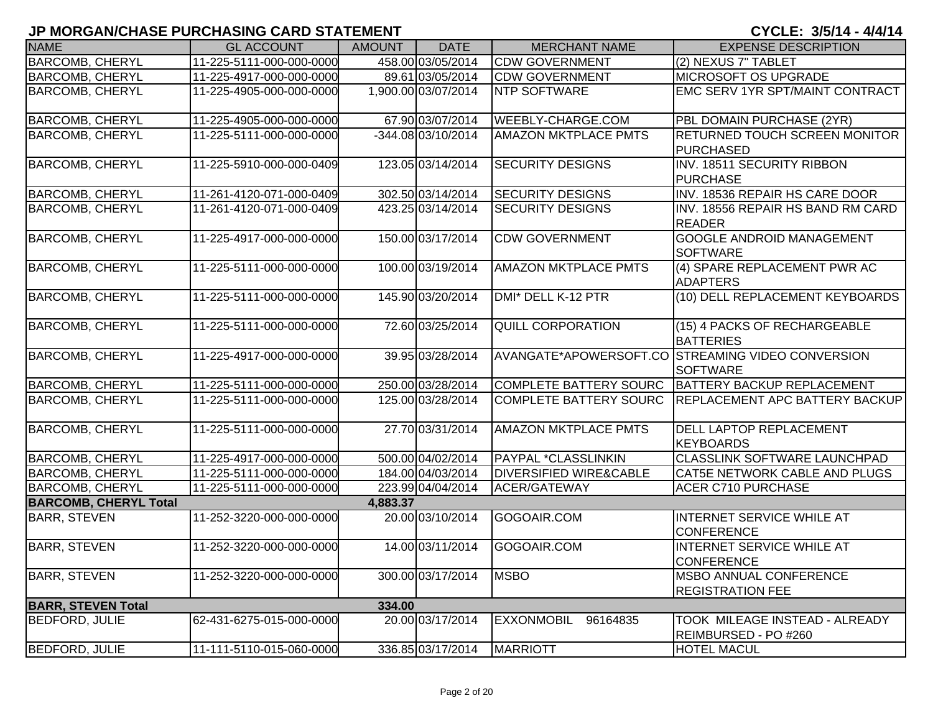| <b>NAME</b>                  | <b>GL ACCOUNT</b>        | <b>AMOUNT</b> | <b>DATE</b>         | <b>MERCHANT NAME</b>              | <b>EXPENSE DESCRIPTION</b>                                           |
|------------------------------|--------------------------|---------------|---------------------|-----------------------------------|----------------------------------------------------------------------|
| <b>BARCOMB, CHERYL</b>       | 11-225-5111-000-000-0000 |               | 458.00 03/05/2014   | <b>CDW GOVERNMENT</b>             | (2) NEXUS 7" TABLET                                                  |
| <b>BARCOMB, CHERYL</b>       | 11-225-4917-000-000-0000 |               | 89.61 03/05/2014    | <b>CDW GOVERNMENT</b>             | <b>MICROSOFT OS UPGRADE</b>                                          |
| <b>BARCOMB, CHERYL</b>       | 11-225-4905-000-000-0000 |               | 1,900.00 03/07/2014 | <b>NTP SOFTWARE</b>               | EMC SERV 1YR SPT/MAINT CONTRACT                                      |
| <b>BARCOMB, CHERYL</b>       | 11-225-4905-000-000-0000 |               | 67.90 03/07/2014    | <b>WEEBLY-CHARGE.COM</b>          | PBL DOMAIN PURCHASE (2YR)                                            |
| <b>BARCOMB, CHERYL</b>       | 11-225-5111-000-000-0000 |               | -344.08 03/10/2014  | <b>AMAZON MKTPLACE PMTS</b>       | <b>RETURNED TOUCH SCREEN MONITOR</b><br><b>PURCHASED</b>             |
| <b>BARCOMB, CHERYL</b>       | 11-225-5910-000-000-0409 |               | 123.05 03/14/2014   | <b>SECURITY DESIGNS</b>           | INV. 18511 SECURITY RIBBON<br><b>PURCHASE</b>                        |
| <b>BARCOMB, CHERYL</b>       | 11-261-4120-071-000-0409 |               | 302.50 03/14/2014   | <b>SECURITY DESIGNS</b>           | INV. 18536 REPAIR HS CARE DOOR                                       |
| <b>BARCOMB, CHERYL</b>       | 11-261-4120-071-000-0409 |               | 423.25 03/14/2014   | <b>SECURITY DESIGNS</b>           | INV. 18556 REPAIR HS BAND RM CARD<br><b>READER</b>                   |
| <b>BARCOMB, CHERYL</b>       | 11-225-4917-000-000-0000 |               | 150.00 03/17/2014   | <b>CDW GOVERNMENT</b>             | <b>GOOGLE ANDROID MANAGEMENT</b><br><b>SOFTWARE</b>                  |
| <b>BARCOMB, CHERYL</b>       | 11-225-5111-000-000-0000 |               | 100.00 03/19/2014   | <b>AMAZON MKTPLACE PMTS</b>       | (4) SPARE REPLACEMENT PWR AC<br><b>ADAPTERS</b>                      |
| <b>BARCOMB, CHERYL</b>       | 11-225-5111-000-000-0000 |               | 145.90 03/20/2014   | DMI* DELL K-12 PTR                | (10) DELL REPLACEMENT KEYBOARDS                                      |
| <b>BARCOMB, CHERYL</b>       | 11-225-5111-000-000-0000 |               | 72.60 03/25/2014    | <b>QUILL CORPORATION</b>          | (15) 4 PACKS OF RECHARGEABLE<br><b>BATTERIES</b>                     |
| <b>BARCOMB, CHERYL</b>       | 11-225-4917-000-000-0000 |               | 39.95 03/28/2014    |                                   | AVANGATE*APOWERSOFT.CO STREAMING VIDEO CONVERSION<br><b>SOFTWARE</b> |
| <b>BARCOMB, CHERYL</b>       | 11-225-5111-000-000-0000 |               | 250.00 03/28/2014   | COMPLETE BATTERY SOURC            | BATTERY BACKUP REPLACEMENT                                           |
| <b>BARCOMB, CHERYL</b>       | 11-225-5111-000-000-0000 |               | 125.00 03/28/2014   | <b>COMPLETE BATTERY SOURC</b>     | <b>REPLACEMENT APC BATTERY BACKUP</b>                                |
| <b>BARCOMB, CHERYL</b>       | 11-225-5111-000-000-0000 |               | 27.70 03/31/2014    | <b>AMAZON MKTPLACE PMTS</b>       | <b>DELL LAPTOP REPLACEMENT</b><br><b>KEYBOARDS</b>                   |
| <b>BARCOMB, CHERYL</b>       | 11-225-4917-000-000-0000 |               | 500.00 04/02/2014   | <b>PAYPAL *CLASSLINKIN</b>        | <b>CLASSLINK SOFTWARE LAUNCHPAD</b>                                  |
| <b>BARCOMB, CHERYL</b>       | 11-225-5111-000-000-0000 |               | 184.00 04/03/2014   | <b>DIVERSIFIED WIRE&amp;CABLE</b> | CAT5E NETWORK CABLE AND PLUGS                                        |
| <b>BARCOMB, CHERYL</b>       | 11-225-5111-000-000-0000 |               | 223.99 04/04/2014   | <b>ACER/GATEWAY</b>               | <b>ACER C710 PURCHASE</b>                                            |
| <b>BARCOMB, CHERYL Total</b> |                          | 4,883.37      |                     |                                   |                                                                      |
| <b>BARR, STEVEN</b>          | 11-252-3220-000-000-0000 |               | 20.00 03/10/2014    | GOGOAIR.COM                       | INTERNET SERVICE WHILE AT<br><b>CONFERENCE</b>                       |
| <b>BARR, STEVEN</b>          | 11-252-3220-000-000-0000 |               | 14.00 03/11/2014    | GOGOAIR.COM                       | <b>INTERNET SERVICE WHILE AT</b><br><b>CONFERENCE</b>                |
| <b>BARR, STEVEN</b>          | 11-252-3220-000-000-0000 |               | 300.00 03/17/2014   | <b>MSBO</b>                       | <b>MSBO ANNUAL CONFERENCE</b><br><b>REGISTRATION FEE</b>             |
| <b>BARR, STEVEN Total</b>    |                          | 334.00        |                     |                                   |                                                                      |
| <b>BEDFORD, JULIE</b>        | 62-431-6275-015-000-0000 |               | 20.00 03/17/2014    | <b>EXXONMOBIL</b><br>96164835     | TOOK MILEAGE INSTEAD - ALREADY<br>REIMBURSED - PO #260               |
| <b>BEDFORD, JULIE</b>        | 11-111-5110-015-060-0000 |               | 336.85 03/17/2014   | <b>MARRIOTT</b>                   | <b>HOTEL MACUL</b>                                                   |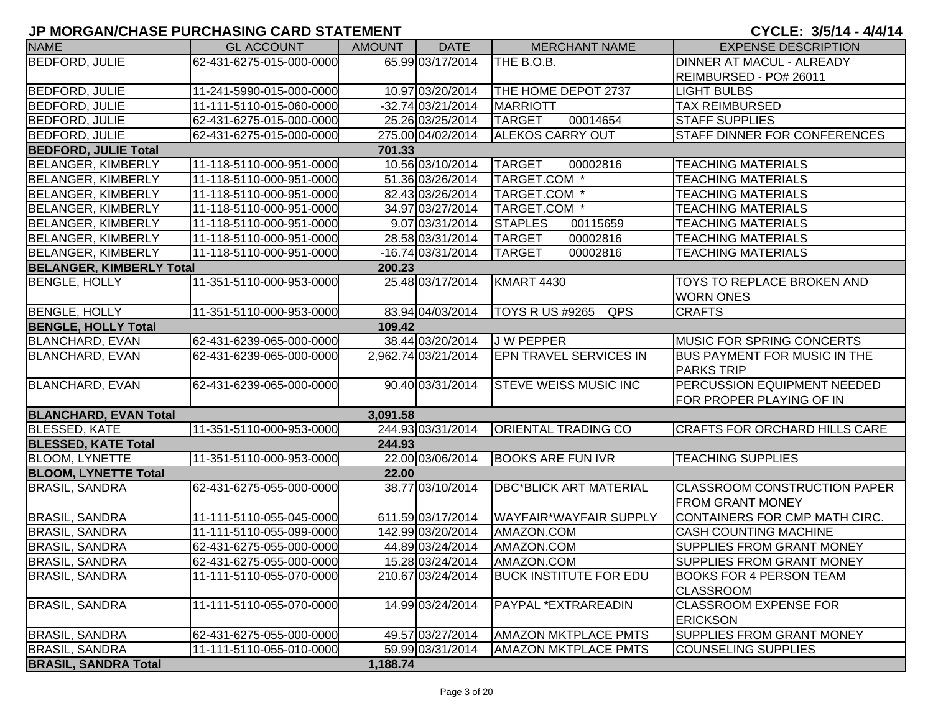| <b>NAME</b>                     | <b>GL ACCOUNT</b>        | AMOUNT   | <b>DATE</b>         | <b>MERCHANT NAME</b>          | <b>EXPENSE DESCRIPTION</b>           |
|---------------------------------|--------------------------|----------|---------------------|-------------------------------|--------------------------------------|
| BEDFORD, JULIE                  | 62-431-6275-015-000-0000 |          | 65.99 03/17/2014    | THE B.O.B.                    | <b>DINNER AT MACUL - ALREADY</b>     |
|                                 |                          |          |                     |                               | REIMBURSED - PO# 26011               |
| <b>BEDFORD, JULIE</b>           | 11-241-5990-015-000-0000 |          | 10.97 03/20/2014    | THE HOME DEPOT 2737           | <b>LIGHT BULBS</b>                   |
| <b>BEDFORD, JULIE</b>           | 11-111-5110-015-060-0000 |          | $-32.74$ 03/21/2014 | <b>MARRIOTT</b>               | <b>TAX REIMBURSED</b>                |
| <b>BEDFORD, JULIE</b>           | 62-431-6275-015-000-0000 |          | 25.26 03/25/2014    | <b>TARGET</b><br>00014654     | <b>STAFF SUPPLIES</b>                |
| BEDFORD, JULIE                  | 62-431-6275-015-000-0000 |          | 275.00 04/02/2014   | <b>ALEKOS CARRY OUT</b>       | <b>STAFF DINNER FOR CONFERENCES</b>  |
| <b>BEDFORD, JULIE Total</b>     |                          | 701.33   |                     |                               |                                      |
| <b>BELANGER, KIMBERLY</b>       | 11-118-5110-000-951-0000 |          | 10.56 03/10/2014    | <b>TARGET</b><br>00002816     | <b>TEACHING MATERIALS</b>            |
| <b>BELANGER, KIMBERLY</b>       | 11-118-5110-000-951-0000 |          | 51.36 03/26/2014    | TARGET.COM <sup>*</sup>       | <b>TEACHING MATERIALS</b>            |
| <b>BELANGER, KIMBERLY</b>       | 11-118-5110-000-951-0000 |          | 82.43 03/26/2014    | TARGET.COM *                  | <b>TEACHING MATERIALS</b>            |
| <b>BELANGER, KIMBERLY</b>       | 11-118-5110-000-951-0000 |          | 34.97 03/27/2014    | TARGET.COM <sup>*</sup>       | <b>TEACHING MATERIALS</b>            |
| BELANGER, KIMBERLY              | 11-118-5110-000-951-0000 |          | 9.07 03/31/2014     | 00115659<br><b>STAPLES</b>    | <b>TEACHING MATERIALS</b>            |
| BELANGER, KIMBERLY              | 11-118-5110-000-951-0000 |          | 28.58 03/31/2014    | 00002816<br><b>TARGET</b>     | <b>TEACHING MATERIALS</b>            |
| BELANGER, KIMBERLY              | 11-118-5110-000-951-0000 |          | -16.74 03/31/2014   | <b>TARGET</b><br>00002816     | <b>TEACHING MATERIALS</b>            |
| <b>BELANGER, KIMBERLY Total</b> |                          | 200.23   |                     |                               |                                      |
| <b>BENGLE, HOLLY</b>            | 11-351-5110-000-953-0000 |          | 25.48 03/17/2014    | KMART 4430                    | <b>TOYS TO REPLACE BROKEN AND</b>    |
|                                 |                          |          |                     |                               | <b>WORN ONES</b>                     |
| <b>BENGLE, HOLLY</b>            | 11-351-5110-000-953-0000 |          | 83.94 04/03/2014    | TOYS R US #9265<br>QPS        | <b>CRAFTS</b>                        |
| <b>BENGLE, HOLLY Total</b>      |                          | 109.42   |                     |                               |                                      |
| <b>BLANCHARD, EVAN</b>          | 62-431-6239-065-000-0000 |          | 38.44 03/20/2014    | <b>JW PEPPER</b>              | <b>MUSIC FOR SPRING CONCERTS</b>     |
| <b>BLANCHARD, EVAN</b>          | 62-431-6239-065-000-0000 |          | 2,962.74 03/21/2014 | <b>EPN TRAVEL SERVICES IN</b> | <b>BUS PAYMENT FOR MUSIC IN THE</b>  |
|                                 |                          |          |                     |                               | <b>PARKS TRIP</b>                    |
| <b>BLANCHARD, EVAN</b>          | 62-431-6239-065-000-0000 |          | 90.40 03/31/2014    | <b>STEVE WEISS MUSIC INC</b>  | <b>PERCUSSION EQUIPMENT NEEDED</b>   |
|                                 |                          |          |                     |                               | FOR PROPER PLAYING OF IN             |
| <b>BLANCHARD, EVAN Total</b>    |                          | 3,091.58 |                     |                               |                                      |
| <b>BLESSED, KATE</b>            | 11-351-5110-000-953-0000 |          | 244.93 03/31/2014   | <b>ORIENTAL TRADING CO</b>    | <b>CRAFTS FOR ORCHARD HILLS CARE</b> |
| <b>BLESSED, KATE Total</b>      |                          | 244.93   |                     |                               |                                      |
| <b>BLOOM, LYNETTE</b>           | 11-351-5110-000-953-0000 |          | 22.00 03/06/2014    | <b>BOOKS ARE FUN IVR</b>      | <b>TEACHING SUPPLIES</b>             |
| <b>BLOOM, LYNETTE Total</b>     |                          | 22.00    |                     |                               |                                      |
| <b>BRASIL, SANDRA</b>           | 62-431-6275-055-000-0000 |          | 38.77 03/10/2014    | <b>DBC*BLICK ART MATERIAL</b> | <b>CLASSROOM CONSTRUCTION PAPER</b>  |
|                                 |                          |          |                     |                               | <b>FROM GRANT MONEY</b>              |
| <b>BRASIL, SANDRA</b>           | 11-111-5110-055-045-0000 |          | 611.59 03/17/2014   | <b>WAYFAIR*WAYFAIR SUPPLY</b> | CONTAINERS FOR CMP MATH CIRC.        |
| <b>BRASIL, SANDRA</b>           | 11-111-5110-055-099-0000 |          | 142.99 03/20/2014   | AMAZON.COM                    | <b>CASH COUNTING MACHINE</b>         |
| <b>BRASIL, SANDRA</b>           | 62-431-6275-055-000-0000 |          | 44.89 03/24/2014    | AMAZON.COM                    | <b>SUPPLIES FROM GRANT MONEY</b>     |
| <b>BRASIL, SANDRA</b>           | 62-431-6275-055-000-0000 |          | 15.28 03/24/2014    | AMAZON.COM                    | <b>SUPPLIES FROM GRANT MONEY</b>     |
| <b>BRASIL, SANDRA</b>           | 11-111-5110-055-070-0000 |          | 210.67 03/24/2014   | <b>BUCK INSTITUTE FOR EDU</b> | <b>BOOKS FOR 4 PERSON TEAM</b>       |
|                                 |                          |          |                     |                               | <b>CLASSROOM</b>                     |
| <b>BRASIL, SANDRA</b>           | 11-111-5110-055-070-0000 |          | 14.99 03/24/2014    | PAYPAL *EXTRAREADIN           | <b>CLASSROOM EXPENSE FOR</b>         |
|                                 |                          |          |                     |                               | <b>ERICKSON</b>                      |
| <b>BRASIL, SANDRA</b>           | 62-431-6275-055-000-0000 |          | 49.57 03/27/2014    | <b>AMAZON MKTPLACE PMTS</b>   | <b>SUPPLIES FROM GRANT MONEY</b>     |
| <b>BRASIL, SANDRA</b>           | 11-111-5110-055-010-0000 |          | 59.99 03/31/2014    | <b>AMAZON MKTPLACE PMTS</b>   | COUNSELING SUPPLIES                  |
| <b>BRASIL, SANDRA Total</b>     |                          | 1,188.74 |                     |                               |                                      |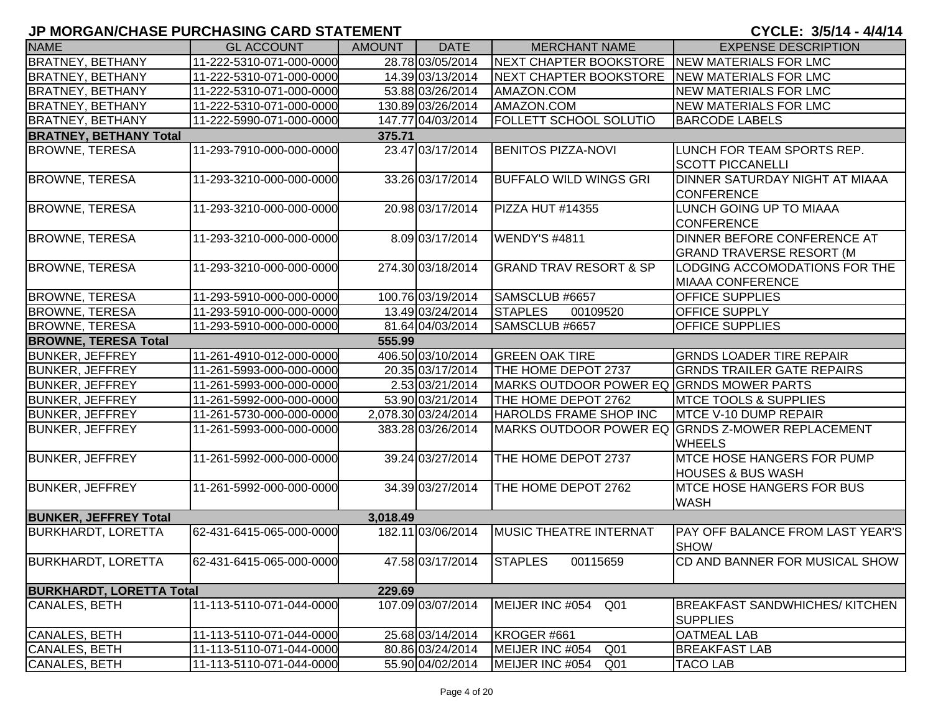| <b>NAME</b>                     | <b>GL ACCOUNT</b>        | <b>AMOUNT</b> | <b>DATE</b>         | <b>MERCHANT NAME</b>                         | <b>EXPENSE DESCRIPTION</b>                                         |
|---------------------------------|--------------------------|---------------|---------------------|----------------------------------------------|--------------------------------------------------------------------|
| <b>BRATNEY, BETHANY</b>         | 11-222-5310-071-000-0000 |               | 28.78 03/05/2014    | NEXT CHAPTER BOOKSTORE                       | NEW MATERIALS FOR LMC                                              |
| <b>BRATNEY, BETHANY</b>         | 11-222-5310-071-000-0000 |               | 14.39 03/13/2014    | NEXT CHAPTER BOOKSTORE NEW MATERIALS FOR LMC |                                                                    |
| <b>BRATNEY, BETHANY</b>         | 11-222-5310-071-000-0000 |               | 53.88 03/26/2014    | AMAZON.COM                                   | NEW MATERIALS FOR LMC                                              |
| <b>BRATNEY, BETHANY</b>         | 11-222-5310-071-000-0000 |               | 130.89 03/26/2014   | AMAZON.COM                                   | NEW MATERIALS FOR LMC                                              |
| <b>BRATNEY, BETHANY</b>         | 11-222-5990-071-000-0000 |               | 147.77 04/03/2014   | <b>FOLLETT SCHOOL SOLUTIO</b>                | <b>BARCODE LABELS</b>                                              |
| <b>BRATNEY, BETHANY Total</b>   |                          | 375.71        |                     |                                              |                                                                    |
| <b>BROWNE, TERESA</b>           | 11-293-7910-000-000-0000 |               | 23.47 03/17/2014    | <b>BENITOS PIZZA-NOVI</b>                    | LUNCH FOR TEAM SPORTS REP.<br><b>SCOTT PICCANELLI</b>              |
| <b>BROWNE, TERESA</b>           | 11-293-3210-000-000-0000 |               | 33.26 03/17/2014    | <b>BUFFALO WILD WINGS GRI</b>                | DINNER SATURDAY NIGHT AT MIAAA<br><b>CONFERENCE</b>                |
| <b>BROWNE, TERESA</b>           | 11-293-3210-000-000-0000 |               | 20.98 03/17/2014    | PIZZA HUT #14355                             | LUNCH GOING UP TO MIAAA<br><b>CONFERENCE</b>                       |
| <b>BROWNE, TERESA</b>           | 11-293-3210-000-000-0000 |               | 8.09 03/17/2014     | WENDY'S #4811                                | DINNER BEFORE CONFERENCE AT<br><b>GRAND TRAVERSE RESORT (M</b>     |
| <b>BROWNE, TERESA</b>           | 11-293-3210-000-000-0000 |               | 274.30 03/18/2014   | <b>GRAND TRAV RESORT &amp; SP</b>            | LODGING ACCOMODATIONS FOR THE<br><b>MIAAA CONFERENCE</b>           |
| <b>BROWNE, TERESA</b>           | 11-293-5910-000-000-0000 |               | 100.76 03/19/2014   | SAMSCLUB #6657                               | <b>OFFICE SUPPLIES</b>                                             |
| <b>BROWNE, TERESA</b>           | 11-293-5910-000-000-0000 |               | 13.49 03/24/2014    | <b>STAPLES</b><br>00109520                   | <b>OFFICE SUPPLY</b>                                               |
| <b>BROWNE, TERESA</b>           | 11-293-5910-000-000-0000 |               | 81.64 04/03/2014    | SAMSCLUB #6657                               | <b>OFFICE SUPPLIES</b>                                             |
| <b>BROWNE, TERESA Total</b>     |                          | 555.99        |                     |                                              |                                                                    |
| <b>BUNKER, JEFFREY</b>          | 11-261-4910-012-000-0000 |               | 406.50 03/10/2014   | <b>GREEN OAK TIRE</b>                        | <b>GRNDS LOADER TIRE REPAIR</b>                                    |
| <b>BUNKER, JEFFREY</b>          | 11-261-5993-000-000-0000 |               | 20.35 03/17/2014    | THE HOME DEPOT 2737                          | <b>GRNDS TRAILER GATE REPAIRS</b>                                  |
| <b>BUNKER, JEFFREY</b>          | 11-261-5993-000-000-0000 |               | 2.53 03/21/2014     | MARKS OUTDOOR POWER EQ GRNDS MOWER PARTS     |                                                                    |
| <b>BUNKER, JEFFREY</b>          | 11-261-5992-000-000-0000 |               | 53.90 03/21/2014    | THE HOME DEPOT 2762                          | <b>IMTCE TOOLS &amp; SUPPLIES</b>                                  |
| <b>BUNKER, JEFFREY</b>          | 11-261-5730-000-000-0000 |               | 2,078.30 03/24/2014 | <b>HAROLDS FRAME SHOP INC</b>                | <b>MTCE V-10 DUMP REPAIR</b>                                       |
| <b>BUNKER, JEFFREY</b>          | 11-261-5993-000-000-0000 |               | 383.28 03/26/2014   |                                              | MARKS OUTDOOR POWER EQ GRNDS Z-MOWER REPLACEMENT<br><b>WHEELS</b>  |
| <b>BUNKER, JEFFREY</b>          | 11-261-5992-000-000-0000 |               | 39.24 03/27/2014    | THE HOME DEPOT 2737                          | <b>IMTCE HOSE HANGERS FOR PUMP</b><br><b>HOUSES &amp; BUS WASH</b> |
| <b>BUNKER, JEFFREY</b>          | 11-261-5992-000-000-0000 |               | 34.39 03/27/2014    | THE HOME DEPOT 2762                          | <b>MTCE HOSE HANGERS FOR BUS</b><br><b>WASH</b>                    |
| <b>BUNKER, JEFFREY Total</b>    |                          | 3,018.49      |                     |                                              |                                                                    |
| <b>BURKHARDT, LORETTA</b>       | 62-431-6415-065-000-0000 |               | 182.11 03/06/2014   | <b>MUSIC THEATRE INTERNAT</b>                | <b>PAY OFF BALANCE FROM LAST YEAR'S</b><br><b>SHOW</b>             |
| <b>BURKHARDT, LORETTA</b>       | 62-431-6415-065-000-0000 |               | 47.58 03/17/2014    | <b>STAPLES</b><br>00115659                   | CD AND BANNER FOR MUSICAL SHOW                                     |
| <b>BURKHARDT, LORETTA Total</b> |                          | 229.69        |                     |                                              |                                                                    |
| <b>CANALES, BETH</b>            | 11-113-5110-071-044-0000 |               | 107.09 03/07/2014   | MEIJER INC #054<br>Q <sub>01</sub>           | <b>BREAKFAST SANDWHICHES/KITCHEN</b><br><b>SUPPLIES</b>            |
| <b>CANALES, BETH</b>            | 11-113-5110-071-044-0000 |               | 25.68 03/14/2014    | KROGER #661                                  | <b>OATMEAL LAB</b>                                                 |
| <b>CANALES, BETH</b>            | 11-113-5110-071-044-0000 |               | 80.86 03/24/2014    | MEIJER INC #054<br>Q <sub>01</sub>           | <b>BREAKFAST LAB</b>                                               |
| <b>CANALES, BETH</b>            | 11-113-5110-071-044-0000 |               | 55.90 04/02/2014    | MEIJER INC #054<br>Q <sub>01</sub>           | <b>TACO LAB</b>                                                    |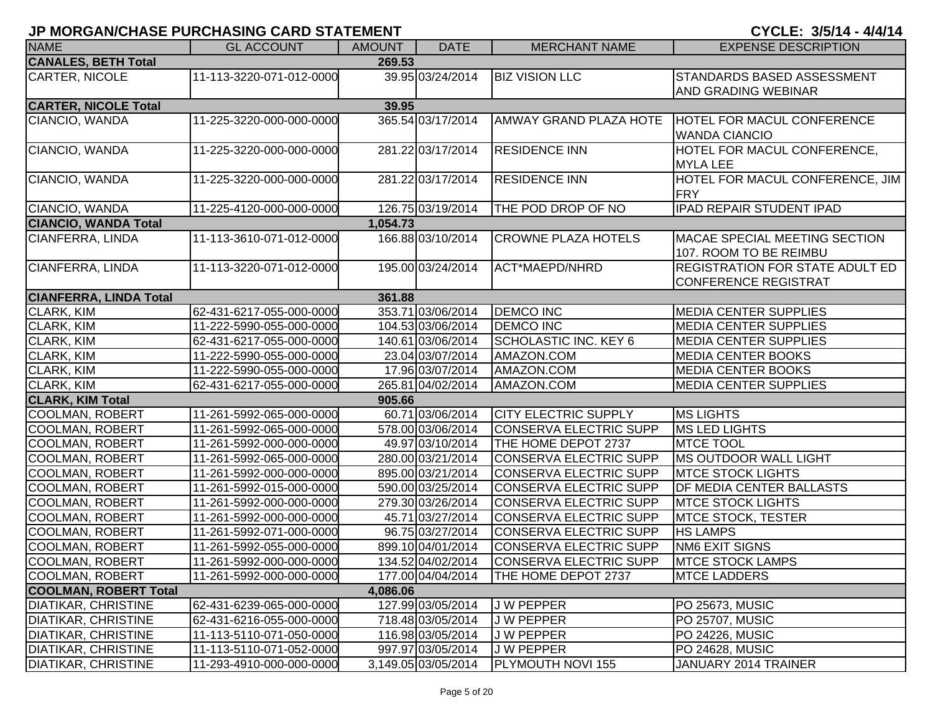| <b>NAME</b>                   | <b>GL ACCOUNT</b>        | <b>AMOUNT</b> | <b>DATE</b>         | <b>MERCHANT NAME</b>          | <b>EXPENSE DESCRIPTION</b>                                            |
|-------------------------------|--------------------------|---------------|---------------------|-------------------------------|-----------------------------------------------------------------------|
| <b>CANALES, BETH Total</b>    |                          | 269.53        |                     |                               |                                                                       |
| CARTER, NICOLE                | 11-113-3220-071-012-0000 |               | 39.95 03/24/2014    | <b>BIZ VISION LLC</b>         | STANDARDS BASED ASSESSMENT                                            |
|                               |                          |               |                     |                               | AND GRADING WEBINAR                                                   |
| <b>CARTER, NICOLE Total</b>   |                          | 39.95         |                     |                               |                                                                       |
| CIANCIO, WANDA                | 11-225-3220-000-000-0000 |               | 365.54 03/17/2014   | <b>AMWAY GRAND PLAZA HOTE</b> | HOTEL FOR MACUL CONFERENCE<br><b>WANDA CIANCIO</b>                    |
| CIANCIO, WANDA                | 11-225-3220-000-000-0000 |               | 281.22 03/17/2014   | <b>RESIDENCE INN</b>          | HOTEL FOR MACUL CONFERENCE,<br><b>MYLA LEE</b>                        |
| CIANCIO, WANDA                | 11-225-3220-000-000-0000 |               | 281.22 03/17/2014   | <b>RESIDENCE INN</b>          | HOTEL FOR MACUL CONFERENCE, JIM<br><b>FRY</b>                         |
| CIANCIO, WANDA                | 11-225-4120-000-000-0000 |               | 126.75 03/19/2014   | THE POD DROP OF NO            | IPAD REPAIR STUDENT IPAD                                              |
| <b>CIANCIO, WANDA Total</b>   |                          | 1,054.73      |                     |                               |                                                                       |
| CIANFERRA, LINDA              | 11-113-3610-071-012-0000 |               | 166.88 03/10/2014   | <b>CROWNE PLAZA HOTELS</b>    | <b>IMACAE SPECIAL MEETING SECTION</b><br>107. ROOM TO BE REIMBU       |
| CIANFERRA, LINDA              | 11-113-3220-071-012-0000 |               | 195.00 03/24/2014   | ACT*MAEPD/NHRD                | <b>REGISTRATION FOR STATE ADULT ED</b><br><b>CONFERENCE REGISTRAT</b> |
| <b>CIANFERRA, LINDA Total</b> |                          | 361.88        |                     |                               |                                                                       |
| CLARK, KIM                    | 62-431-6217-055-000-0000 |               | 353.71 03/06/2014   | <b>DEMCO INC</b>              | <b>MEDIA CENTER SUPPLIES</b>                                          |
| CLARK, KIM                    | 11-222-5990-055-000-0000 |               | 104.53 03/06/2014   | <b>DEMCO INC</b>              | <b>MEDIA CENTER SUPPLIES</b>                                          |
| CLARK, KIM                    | 62-431-6217-055-000-0000 |               | 140.61 03/06/2014   | SCHOLASTIC INC. KEY 6         | <b>MEDIA CENTER SUPPLIES</b>                                          |
| CLARK, KIM                    | 11-222-5990-055-000-0000 |               | 23.04 03/07/2014    | AMAZON.COM                    | <b>MEDIA CENTER BOOKS</b>                                             |
| <b>CLARK, KIM</b>             | 11-222-5990-055-000-0000 |               | 17.96 03/07/2014    | AMAZON.COM                    | <b>MEDIA CENTER BOOKS</b>                                             |
| <b>CLARK, KIM</b>             | 62-431-6217-055-000-0000 |               | 265.81 04/02/2014   | AMAZON.COM                    | <b>MEDIA CENTER SUPPLIES</b>                                          |
| <b>CLARK, KIM Total</b>       |                          | 905.66        |                     |                               |                                                                       |
| COOLMAN, ROBERT               | 11-261-5992-065-000-0000 |               | 60.71 03/06/2014    | <b>CITY ELECTRIC SUPPLY</b>   | <b>MS LIGHTS</b>                                                      |
| COOLMAN, ROBERT               | 11-261-5992-065-000-0000 |               | 578.00 03/06/2014   | CONSERVA ELECTRIC SUPP        | <b>MS LED LIGHTS</b>                                                  |
| COOLMAN, ROBERT               | 11-261-5992-000-000-0000 |               | 49.97 03/10/2014    | THE HOME DEPOT 2737           | <b>MTCE TOOL</b>                                                      |
| COOLMAN, ROBERT               | 11-261-5992-065-000-0000 |               | 280.00 03/21/2014   | CONSERVA ELECTRIC SUPP        | MS OUTDOOR WALL LIGHT                                                 |
| COOLMAN, ROBERT               | 11-261-5992-000-000-0000 |               | 895.00 03/21/2014   | CONSERVA ELECTRIC SUPP        | <b>MTCE STOCK LIGHTS</b>                                              |
| COOLMAN, ROBERT               | 11-261-5992-015-000-0000 |               | 590.00 03/25/2014   | CONSERVA ELECTRIC SUPP        | <b>IDF MEDIA CENTER BALLASTS</b>                                      |
| COOLMAN, ROBERT               | 11-261-5992-000-000-0000 |               | 279.30 03/26/2014   | CONSERVA ELECTRIC SUPP        | <b>MTCE STOCK LIGHTS</b>                                              |
| COOLMAN, ROBERT               | 11-261-5992-000-000-0000 |               | 45.71 03/27/2014    | CONSERVA ELECTRIC SUPP        | <b>MTCE STOCK, TESTER</b>                                             |
| COOLMAN, ROBERT               | 11-261-5992-071-000-0000 |               | 96.75 03/27/2014    | CONSERVA ELECTRIC SUPP        | <b>HS LAMPS</b>                                                       |
| COOLMAN, ROBERT               | 11-261-5992-055-000-0000 |               | 899.10 04/01/2014   | <b>CONSERVA ELECTRIC SUPP</b> | <b>NM6 EXIT SIGNS</b>                                                 |
| COOLMAN, ROBERT               | 11-261-5992-000-000-0000 |               | 134.52 04/02/2014   | CONSERVA ELECTRIC SUPP        | <b>MTCE STOCK LAMPS</b>                                               |
| COOLMAN, ROBERT               | 11-261-5992-000-000-0000 |               | 177.00 04/04/2014   | THE HOME DEPOT 2737           | <b>MTCE LADDERS</b>                                                   |
| <b>COOLMAN, ROBERT Total</b>  |                          | 4,086.06      |                     |                               |                                                                       |
| <b>DIATIKAR, CHRISTINE</b>    | 62-431-6239-065-000-0000 |               | 127.99 03/05/2014   | J W PEPPER                    | PO 25673, MUSIC                                                       |
| <b>DIATIKAR, CHRISTINE</b>    | 62-431-6216-055-000-0000 |               | 718.48 03/05/2014   | <b>JW PEPPER</b>              | <b>PO 25707, MUSIC</b>                                                |
| <b>DIATIKAR, CHRISTINE</b>    | 11-113-5110-071-050-0000 |               | 116.98 03/05/2014   | J W PEPPER                    | <b>PO 24226, MUSIC</b>                                                |
| <b>DIATIKAR, CHRISTINE</b>    | 11-113-5110-071-052-0000 |               | 997.97 03/05/2014   | J W PEPPER                    | PO 24628, MUSIC                                                       |
| <b>DIATIKAR, CHRISTINE</b>    | 11-293-4910-000-000-0000 |               | 3,149.05 03/05/2014 | PLYMOUTH NOVI 155             | JANUARY 2014 TRAINER                                                  |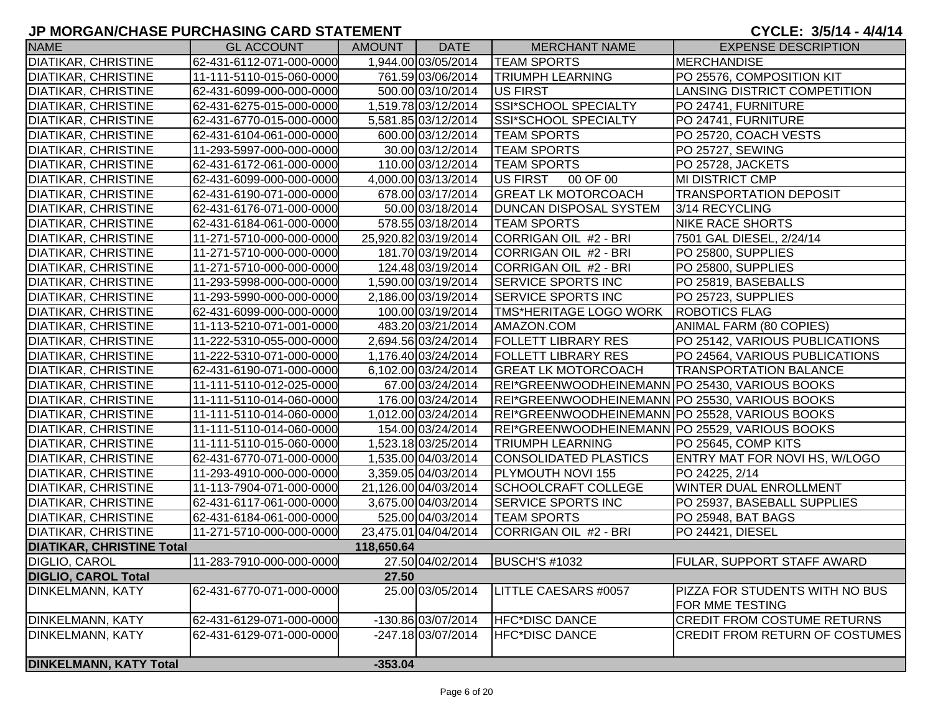| <b>NAME</b>                      | <b>GL ACCOUNT</b>        | AMOUNT     | <b>DATE</b>          | <b>MERCHANT NAME</b>                           | <b>EXPENSE DESCRIPTION</b>            |
|----------------------------------|--------------------------|------------|----------------------|------------------------------------------------|---------------------------------------|
| <b>DIATIKAR, CHRISTINE</b>       | 62-431-6112-071-000-0000 |            | 1,944.00 03/05/2014  | <b>TEAM SPORTS</b>                             | <b>MERCHANDISE</b>                    |
| <b>DIATIKAR, CHRISTINE</b>       | 11-111-5110-015-060-0000 |            | 761.59 03/06/2014    | <b>TRIUMPH LEARNING</b>                        | PO 25576, COMPOSITION KIT             |
| <b>DIATIKAR, CHRISTINE</b>       | 62-431-6099-000-000-0000 |            | 500.00 03/10/2014    | <b>US FIRST</b>                                | LANSING DISTRICT COMPETITION          |
| <b>DIATIKAR, CHRISTINE</b>       | 62-431-6275-015-000-0000 |            | 1,519.78 03/12/2014  | <b>SSI*SCHOOL SPECIALTY</b>                    | PO 24741, FURNITURE                   |
| <b>DIATIKAR, CHRISTINE</b>       | 62-431-6770-015-000-0000 |            | 5,581.85 03/12/2014  | <b>SSI*SCHOOL SPECIALTY</b>                    | PO 24741, FURNITURE                   |
| <b>DIATIKAR, CHRISTINE</b>       | 62-431-6104-061-000-0000 |            | 600.00 03/12/2014    | <b>TEAM SPORTS</b>                             | PO 25720, COACH VESTS                 |
| <b>DIATIKAR, CHRISTINE</b>       | 11-293-5997-000-000-0000 |            | 30.00 03/12/2014     | <b>TEAM SPORTS</b>                             | PO 25727, SEWING                      |
| <b>DIATIKAR, CHRISTINE</b>       | 62-431-6172-061-000-0000 |            | 110.00 03/12/2014    | <b>TEAM SPORTS</b>                             | PO 25728, JACKETS                     |
| <b>DIATIKAR, CHRISTINE</b>       | 62-431-6099-000-000-0000 |            | 4,000.00 03/13/2014  | US FIRST 00 OF 00                              | <b>MI DISTRICT CMP</b>                |
| <b>DIATIKAR, CHRISTINE</b>       | 62-431-6190-071-000-0000 |            | 678.00 03/17/2014    | <b>GREAT LK MOTORCOACH</b>                     | <b>TRANSPORTATION DEPOSIT</b>         |
| <b>DIATIKAR, CHRISTINE</b>       | 62-431-6176-071-000-0000 |            | 50.00 03/18/2014     | <b>DUNCAN DISPOSAL SYSTEM</b>                  | 3/14 RECYCLING                        |
| <b>DIATIKAR, CHRISTINE</b>       | 62-431-6184-061-000-0000 |            | 578.55 03/18/2014    | <b>TEAM SPORTS</b>                             | <b>NIKE RACE SHORTS</b>               |
| <b>DIATIKAR, CHRISTINE</b>       | 11-271-5710-000-000-0000 |            | 25,920.82 03/19/2014 | CORRIGAN OIL #2 - BRI                          | 7501 GAL DIESEL, 2/24/14              |
| <b>DIATIKAR, CHRISTINE</b>       | 11-271-5710-000-000-0000 |            | 181.70 03/19/2014    | CORRIGAN OIL #2 - BRI                          | PO 25800, SUPPLIES                    |
| <b>DIATIKAR, CHRISTINE</b>       | 11-271-5710-000-000-0000 |            | 124.48 03/19/2014    | CORRIGAN OIL #2 - BRI                          | PO 25800, SUPPLIES                    |
| <b>DIATIKAR, CHRISTINE</b>       | 11-293-5998-000-000-0000 |            | 1,590.00 03/19/2014  | <b>SERVICE SPORTS INC</b>                      | PO 25819, BASEBALLS                   |
| <b>DIATIKAR, CHRISTINE</b>       | 11-293-5990-000-000-0000 |            | 2,186.00 03/19/2014  | <b>SERVICE SPORTS INC</b>                      | PO 25723, SUPPLIES                    |
| <b>DIATIKAR, CHRISTINE</b>       | 62-431-6099-000-000-0000 |            | 100.00 03/19/2014    | TMS*HERITAGE LOGO WORK                         | <b>ROBOTICS FLAG</b>                  |
| <b>DIATIKAR, CHRISTINE</b>       | 11-113-5210-071-001-0000 |            | 483.20 03/21/2014    | AMAZON.COM                                     | ANIMAL FARM (80 COPIES)               |
| <b>DIATIKAR, CHRISTINE</b>       | 11-222-5310-055-000-0000 |            | 2,694.56 03/24/2014  | <b>FOLLETT LIBRARY RES</b>                     | PO 25142, VARIOUS PUBLICATIONS        |
| <b>DIATIKAR, CHRISTINE</b>       | 11-222-5310-071-000-0000 |            | 1,176.40 03/24/2014  | <b>FOLLETT LIBRARY RES</b>                     | PO 24564, VARIOUS PUBLICATIONS        |
| <b>DIATIKAR, CHRISTINE</b>       | 62-431-6190-071-000-0000 |            | 6,102.00 03/24/2014  | <b>GREAT LK MOTORCOACH</b>                     | <b>TRANSPORTATION BALANCE</b>         |
| <b>DIATIKAR, CHRISTINE</b>       | 11-111-5110-012-025-0000 |            | 67.00 03/24/2014     | REI*GREENWOODHEINEMANN PO 25430, VARIOUS BOOKS |                                       |
| <b>DIATIKAR, CHRISTINE</b>       | 11-111-5110-014-060-0000 |            | 176.00 03/24/2014    | REI*GREENWOODHEINEMANN PO 25530, VARIOUS BOOKS |                                       |
| <b>DIATIKAR, CHRISTINE</b>       | 11-111-5110-014-060-0000 |            | 1,012.00 03/24/2014  | REI*GREENWOODHEINEMANN PO 25528, VARIOUS BOOKS |                                       |
| <b>DIATIKAR, CHRISTINE</b>       | 11-111-5110-014-060-0000 |            | 154.00 03/24/2014    | REI*GREENWOODHEINEMANN PO 25529, VARIOUS BOOKS |                                       |
| <b>DIATIKAR, CHRISTINE</b>       | 11-111-5110-015-060-0000 |            | 1,523.18 03/25/2014  | <b>TRIUMPH LEARNING</b>                        | PO 25645, COMP KITS                   |
| <b>DIATIKAR, CHRISTINE</b>       | 62-431-6770-071-000-0000 |            | 1,535.00 04/03/2014  | <b>CONSOLIDATED PLASTICS</b>                   | ENTRY MAT FOR NOVI HS, W/LOGO         |
| <b>DIATIKAR, CHRISTINE</b>       | 11-293-4910-000-000-0000 |            | 3,359.05 04/03/2014  | <b>PLYMOUTH NOVI 155</b>                       | PO 24225, 2/14                        |
| <b>DIATIKAR, CHRISTINE</b>       | 11-113-7904-071-000-0000 |            | 21,126.00 04/03/2014 | <b>SCHOOLCRAFT COLLEGE</b>                     | WINTER DUAL ENROLLMENT                |
| <b>DIATIKAR, CHRISTINE</b>       | 62-431-6117-061-000-0000 |            | 3,675.00 04/03/2014  | <b>SERVICE SPORTS INC</b>                      | PO 25937, BASEBALL SUPPLIES           |
| <b>DIATIKAR, CHRISTINE</b>       | 62-431-6184-061-000-0000 |            | 525.00 04/03/2014    | <b>TEAM SPORTS</b>                             | PO 25948, BAT BAGS                    |
| <b>DIATIKAR, CHRISTINE</b>       | 11-271-5710-000-000-0000 |            | 23,475.01 04/04/2014 | CORRIGAN OIL #2 - BRI                          | PO 24421, DIESEL                      |
| <b>DIATIKAR, CHRISTINE Total</b> |                          | 118,650.64 |                      |                                                |                                       |
| DIGLIO, CAROL                    | 11-283-7910-000-000-0000 |            | 27.50 04/02/2014     | BUSCH'S #1032                                  | <b>FULAR, SUPPORT STAFF AWARD</b>     |
| <b>DIGLIO, CAROL Total</b>       |                          | 27.50      |                      |                                                |                                       |
| <b>DINKELMANN, KATY</b>          | 62-431-6770-071-000-0000 |            | 25.00 03/05/2014     | LITTLE CAESARS #0057                           | PIZZA FOR STUDENTS WITH NO BUS        |
|                                  |                          |            |                      |                                                | FOR MME TESTING                       |
| <b>DINKELMANN, KATY</b>          | 62-431-6129-071-000-0000 |            | $-130.86$ 03/07/2014 | <b>HFC*DISC DANCE</b>                          | <b>CREDIT FROM COSTUME RETURNS</b>    |
| <b>DINKELMANN, KATY</b>          | 62-431-6129-071-000-0000 |            | -247.18 03/07/2014   | <b>HFC*DISC DANCE</b>                          | <b>CREDIT FROM RETURN OF COSTUMES</b> |
| <b>DINKELMANN, KATY Total</b>    |                          | $-353.04$  |                      |                                                |                                       |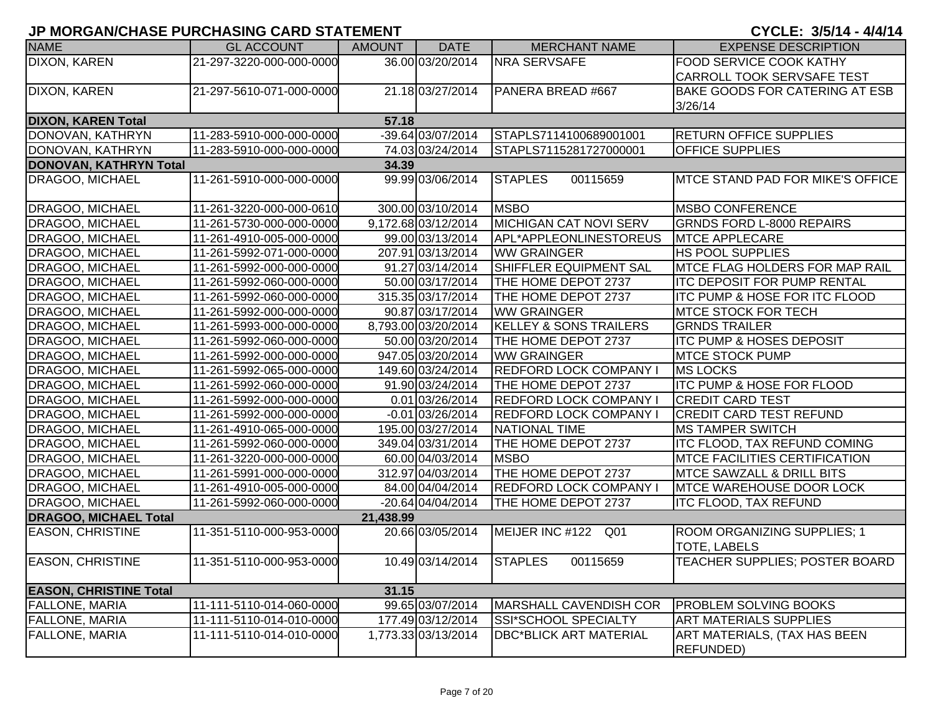| <b>NAME</b>                   | <b>GL ACCOUNT</b>        | <b>AMOUNT</b> | <b>DATE</b>         | <b>MERCHANT NAME</b>              | <b>EXPENSE DESCRIPTION</b>                         |
|-------------------------------|--------------------------|---------------|---------------------|-----------------------------------|----------------------------------------------------|
| DIXON, KAREN                  | 21-297-3220-000-000-0000 |               | 36.00 03/20/2014    | <b>NRA SERVSAFE</b>               | <b>FOOD SERVICE COOK KATHY</b>                     |
|                               |                          |               |                     |                                   | <b>CARROLL TOOK SERVSAFE TEST</b>                  |
| DIXON, KAREN                  | 21-297-5610-071-000-0000 |               | 21.18 03/27/2014    | PANERA BREAD #667                 | <b>BAKE GOODS FOR CATERING AT ESB</b>              |
|                               |                          |               |                     |                                   | 3/26/14                                            |
| <b>DIXON, KAREN Total</b>     |                          | 57.18         |                     |                                   |                                                    |
| DONOVAN, KATHRYN              | 11-283-5910-000-000-0000 |               | -39.64 03/07/2014   | STAPLS7114100689001001            | <b>RETURN OFFICE SUPPLIES</b>                      |
| DONOVAN, KATHRYN              | 11-283-5910-000-000-0000 |               | 74.03 03/24/2014    | STAPLS7115281727000001            | <b>OFFICE SUPPLIES</b>                             |
| <b>DONOVAN, KATHRYN Total</b> |                          | 34.39         |                     |                                   |                                                    |
| DRAGOO, MICHAEL               | 11-261-5910-000-000-0000 |               | 99.99 03/06/2014    | <b>STAPLES</b><br>00115659        | <b>IMTCE STAND PAD FOR MIKE'S OFFICE</b>           |
| DRAGOO, MICHAEL               | 11-261-3220-000-000-0610 |               | 300.00 03/10/2014   | <b>MSBO</b>                       | <b>MSBO CONFERENCE</b>                             |
| <b>DRAGOO, MICHAEL</b>        | 11-261-5730-000-000-0000 |               | 9,172.68 03/12/2014 | MICHIGAN CAT NOVI SERV            | <b>GRNDS FORD L-8000 REPAIRS</b>                   |
| <b>DRAGOO, MICHAEL</b>        | 11-261-4910-005-000-0000 |               | 99.00 03/13/2014    | APL*APPLEONLINESTOREUS            | <b>MTCE APPLECARE</b>                              |
| <b>DRAGOO, MICHAEL</b>        | 11-261-5992-071-000-0000 |               | 207.91 03/13/2014   | <b>WW GRAINGER</b>                | <b>HS POOL SUPPLIES</b>                            |
| <b>DRAGOO, MICHAEL</b>        | 11-261-5992-000-000-0000 |               | 91.27 03/14/2014    | <b>SHIFFLER EQUIPMENT SAL</b>     | <b>IMTCE FLAG HOLDERS FOR MAP RAIL</b>             |
| <b>DRAGOO, MICHAEL</b>        | 11-261-5992-060-000-0000 |               | 50.00 03/17/2014    | THE HOME DEPOT 2737               | <b>ITC DEPOSIT FOR PUMP RENTAL</b>                 |
| <b>DRAGOO, MICHAEL</b>        | 11-261-5992-060-000-0000 |               | 315.35 03/17/2014   | THE HOME DEPOT 2737               | <b>ITC PUMP &amp; HOSE FOR ITC FLOOD</b>           |
| <b>DRAGOO, MICHAEL</b>        | 11-261-5992-000-000-0000 |               | 90.87 03/17/2014    | <b>WW GRAINGER</b>                | <b>IMTCE STOCK FOR TECH</b>                        |
| <b>DRAGOO, MICHAEL</b>        | 11-261-5993-000-000-0000 |               | 8.793.00 03/20/2014 | <b>KELLEY &amp; SONS TRAILERS</b> | <b>GRNDS TRAILER</b>                               |
| <b>DRAGOO, MICHAEL</b>        | 11-261-5992-060-000-0000 |               | 50.00 03/20/2014    | <b>THE HOME DEPOT 2737</b>        | ITC PUMP & HOSES DEPOSIT                           |
| DRAGOO, MICHAEL               | 11-261-5992-000-000-0000 |               | 947.05 03/20/2014   | <b>WW GRAINGER</b>                | <b>IMTCE STOCK PUMP</b>                            |
| <b>DRAGOO, MICHAEL</b>        | 11-261-5992-065-000-0000 |               | 149.60 03/24/2014   | <b>REDFORD LOCK COMPANY I</b>     | <b>MS LOCKS</b>                                    |
| <b>DRAGOO, MICHAEL</b>        | 11-261-5992-060-000-0000 |               | 91.90 03/24/2014    | THE HOME DEPOT 2737               | <b>ITC PUMP &amp; HOSE FOR FLOOD</b>               |
| <b>DRAGOO, MICHAEL</b>        | 11-261-5992-000-000-0000 |               | 0.01 03/26/2014     | <b>REDFORD LOCK COMPANY I</b>     | <b>CREDIT CARD TEST</b>                            |
| <b>DRAGOO, MICHAEL</b>        | 11-261-5992-000-000-0000 |               | $-0.01$ 03/26/2014  | <b>REDFORD LOCK COMPANY I</b>     | <b>CREDIT CARD TEST REFUND</b>                     |
| <b>DRAGOO, MICHAEL</b>        | 11-261-4910-065-000-0000 |               | 195.00 03/27/2014   | NATIONAL TIME                     | <b>MS TAMPER SWITCH</b>                            |
| DRAGOO, MICHAEL               | 11-261-5992-060-000-0000 |               | 349.04 03/31/2014   | THE HOME DEPOT 2737               | <b>ITC FLOOD, TAX REFUND COMING</b>                |
| <b>DRAGOO, MICHAEL</b>        | 11-261-3220-000-000-0000 |               | 60.00 04/03/2014    | <b>MSBO</b>                       | <b>IMTCE FACILITIES CERTIFICATION</b>              |
| <b>DRAGOO, MICHAEL</b>        | 11-261-5991-000-000-0000 |               | 312.97 04/03/2014   | THE HOME DEPOT 2737               | <b>MTCE SAWZALL &amp; DRILL BITS</b>               |
| DRAGOO, MICHAEL               | 11-261-4910-005-000-0000 |               | 84.00 04/04/2014    | <b>REDFORD LOCK COMPANY I</b>     | <b>MTCE WAREHOUSE DOOR LOCK</b>                    |
| <b>DRAGOO, MICHAEL</b>        | 11-261-5992-060-000-0000 |               | $-20.64$ 04/04/2014 | THE HOME DEPOT 2737               | <b>ITC FLOOD, TAX REFUND</b>                       |
| <b>DRAGOO, MICHAEL Total</b>  |                          | 21,438.99     |                     |                                   |                                                    |
| <b>EASON, CHRISTINE</b>       | 11-351-5110-000-953-0000 |               | 20.66 03/05/2014    | MEIJER INC #122<br>Q01            | ROOM ORGANIZING SUPPLIES; 1<br><b>TOTE, LABELS</b> |
| <b>EASON, CHRISTINE</b>       | 11-351-5110-000-953-0000 |               | 10.49 03/14/2014    | <b>STAPLES</b><br>00115659        | TEACHER SUPPLIES; POSTER BOARD                     |
| <b>EASON, CHRISTINE Total</b> |                          | 31.15         |                     |                                   |                                                    |
| <b>FALLONE, MARIA</b>         | 11-111-5110-014-060-0000 |               | 99.65 03/07/2014    | <b>MARSHALL CAVENDISH COR</b>     | <b>PROBLEM SOLVING BOOKS</b>                       |
| <b>FALLONE, MARIA</b>         | 11-111-5110-014-010-0000 |               | 177.49 03/12/2014   | SSI*SCHOOL SPECIALTY              | <b>ART MATERIALS SUPPLIES</b>                      |
| <b>FALLONE, MARIA</b>         | 11-111-5110-014-010-0000 |               | 1,773.33 03/13/2014 | <b>DBC*BLICK ART MATERIAL</b>     | ART MATERIALS, (TAX HAS BEEN<br><b>REFUNDED</b> )  |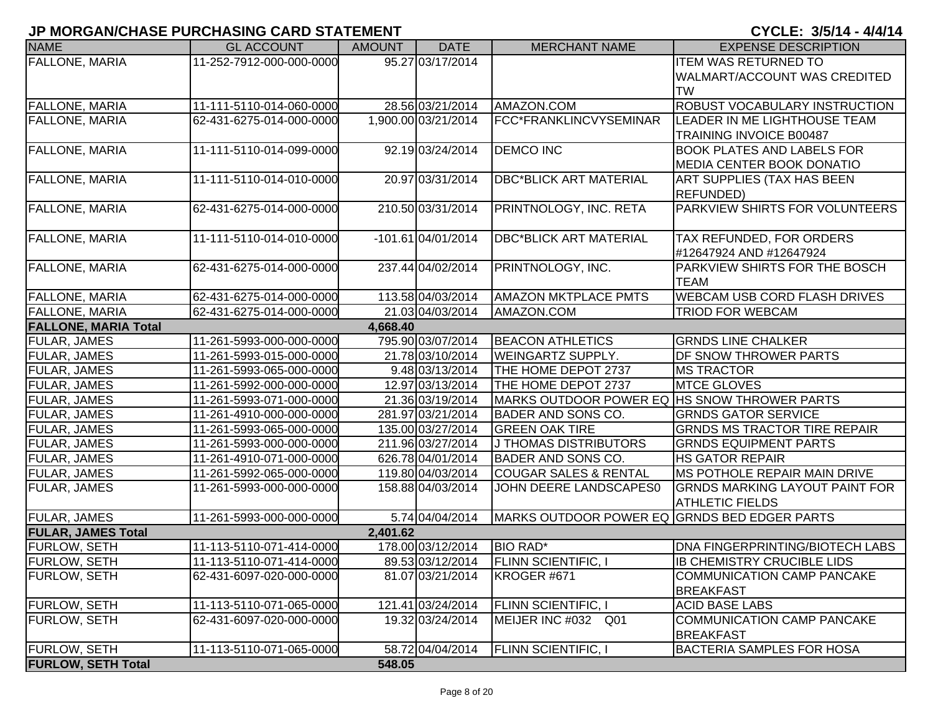| <b>NAME</b>                 | <b>GL ACCOUNT</b>        | <b>AMOUNT</b> | <b>DATE</b>          | <b>MERCHANT NAME</b>                         | <b>EXPENSE DESCRIPTION</b>            |
|-----------------------------|--------------------------|---------------|----------------------|----------------------------------------------|---------------------------------------|
| <b>FALLONE, MARIA</b>       | 11-252-7912-000-000-0000 |               | 95.27 03/17/2014     |                                              | <b>ITEM WAS RETURNED TO</b>           |
|                             |                          |               |                      |                                              | WALMART/ACCOUNT WAS CREDITED          |
|                             |                          |               |                      |                                              | <b>TW</b>                             |
| <b>FALLONE, MARIA</b>       | 11-111-5110-014-060-0000 |               | 28.56 03/21/2014     | AMAZON.COM                                   | ROBUST VOCABULARY INSTRUCTION         |
| <b>FALLONE, MARIA</b>       | 62-431-6275-014-000-0000 |               | 1,900.00 03/21/2014  | FCC*FRANKLINCVYSEMINAR                       | LEADER IN ME LIGHTHOUSE TEAM          |
|                             |                          |               |                      |                                              | <b>TRAINING INVOICE B00487</b>        |
| <b>FALLONE, MARIA</b>       | 11-111-5110-014-099-0000 |               | 92.19 03/24/2014     | <b>DEMCO INC</b>                             | <b>BOOK PLATES AND LABELS FOR</b>     |
|                             |                          |               |                      |                                              | MEDIA CENTER BOOK DONATIO             |
| <b>FALLONE, MARIA</b>       | 11-111-5110-014-010-0000 |               | 20.97 03/31/2014     | <b>DBC*BLICK ART MATERIAL</b>                | ART SUPPLIES (TAX HAS BEEN            |
|                             |                          |               |                      |                                              | <b>REFUNDED)</b>                      |
| <b>FALLONE, MARIA</b>       | 62-431-6275-014-000-0000 |               | 210.50 03/31/2014    | PRINTNOLOGY, INC. RETA                       | PARKVIEW SHIRTS FOR VOLUNTEERS        |
|                             |                          |               |                      |                                              |                                       |
| <b>FALLONE, MARIA</b>       | 11-111-5110-014-010-0000 |               | $-101.61$ 04/01/2014 | <b>DBC*BLICK ART MATERIAL</b>                | TAX REFUNDED, FOR ORDERS              |
|                             |                          |               |                      |                                              | #12647924 AND #12647924               |
| <b>FALLONE, MARIA</b>       | 62-431-6275-014-000-0000 |               | 237.44 04/02/2014    | PRINTNOLOGY, INC.                            | PARKVIEW SHIRTS FOR THE BOSCH         |
|                             |                          |               |                      |                                              | <b>TEAM</b>                           |
| <b>FALLONE, MARIA</b>       | 62-431-6275-014-000-0000 |               | 113.58 04/03/2014    | <b>AMAZON MKTPLACE PMTS</b>                  | <b>WEBCAM USB CORD FLASH DRIVES</b>   |
| <b>FALLONE, MARIA</b>       | 62-431-6275-014-000-0000 |               | 21.03 04/03/2014     | AMAZON.COM                                   | <b>TRIOD FOR WEBCAM</b>               |
| <b>FALLONE, MARIA Total</b> |                          | 4,668.40      |                      |                                              |                                       |
| <b>FULAR, JAMES</b>         | 11-261-5993-000-000-0000 |               | 795.90 03/07/2014    | <b>BEACON ATHLETICS</b>                      | <b>GRNDS LINE CHALKER</b>             |
| <b>FULAR, JAMES</b>         | 11-261-5993-015-000-0000 |               | 21.78 03/10/2014     | <b>WEINGARTZ SUPPLY.</b>                     | DF SNOW THROWER PARTS                 |
| <b>FULAR, JAMES</b>         | 11-261-5993-065-000-0000 |               | 9.48 03/13/2014      | THE HOME DEPOT 2737                          | <b>MS TRACTOR</b>                     |
| <b>FULAR, JAMES</b>         | 11-261-5992-000-000-0000 |               | 12.97 03/13/2014     | THE HOME DEPOT 2737                          | <b>MTCE GLOVES</b>                    |
| <b>FULAR, JAMES</b>         | 11-261-5993-071-000-0000 |               | 21.36 03/19/2014     | MARKS OUTDOOR POWER EQ HS SNOW THROWER PARTS |                                       |
| <b>FULAR, JAMES</b>         | 11-261-4910-000-000-0000 |               | 281.97 03/21/2014    | <b>BADER AND SONS CO.</b>                    | <b>GRNDS GATOR SERVICE</b>            |
| <b>FULAR, JAMES</b>         | 11-261-5993-065-000-0000 |               | 135.00 03/27/2014    | <b>GREEN OAK TIRE</b>                        | <b>GRNDS MS TRACTOR TIRE REPAIR</b>   |
| <b>FULAR, JAMES</b>         | 11-261-5993-000-000-0000 |               | 211.96 03/27/2014    | <b>J THOMAS DISTRIBUTORS</b>                 | <b>GRNDS EQUIPMENT PARTS</b>          |
| <b>FULAR, JAMES</b>         | 11-261-4910-071-000-0000 |               | 626.78 04/01/2014    | <b>BADER AND SONS CO.</b>                    | <b>HS GATOR REPAIR</b>                |
| <b>FULAR, JAMES</b>         | 11-261-5992-065-000-0000 |               | 119.80 04/03/2014    | <b>COUGAR SALES &amp; RENTAL</b>             | MS POTHOLE REPAIR MAIN DRIVE          |
| <b>FULAR, JAMES</b>         | 11-261-5993-000-000-0000 |               | 158.88 04/03/2014    | JOHN DEERE LANDSCAPES0                       | <b>GRNDS MARKING LAYOUT PAINT FOR</b> |
|                             |                          |               |                      |                                              | <b>ATHLETIC FIELDS</b>                |
| <b>FULAR, JAMES</b>         | 11-261-5993-000-000-0000 |               | 5.74 04/04/2014      | MARKS OUTDOOR POWER EQ GRNDS BED EDGER PARTS |                                       |
| <b>FULAR, JAMES Total</b>   |                          | 2,401.62      |                      |                                              |                                       |
| <b>FURLOW, SETH</b>         | 11-113-5110-071-414-0000 |               | 178.00 03/12/2014    | <b>BIO RAD*</b>                              | DNA FINGERPRINTING/BIOTECH LABS       |
| <b>FURLOW, SETH</b>         | 11-113-5110-071-414-0000 |               | 89.53 03/12/2014     | <b>FLINN SCIENTIFIC, I</b>                   | <b>IB CHEMISTRY CRUCIBLE LIDS</b>     |
| <b>FURLOW, SETH</b>         | 62-431-6097-020-000-0000 |               | 81.07 03/21/2014     | KROGER #671                                  | <b>COMMUNICATION CAMP PANCAKE</b>     |
|                             |                          |               |                      |                                              | <b>BREAKFAST</b>                      |
| <b>FURLOW, SETH</b>         | 11-113-5110-071-065-0000 |               | 121.41 03/24/2014    | <b>FLINN SCIENTIFIC, I</b>                   | <b>ACID BASE LABS</b>                 |
| <b>FURLOW, SETH</b>         | 62-431-6097-020-000-0000 |               | 19.32 03/24/2014     | MEIJER INC #032 Q01                          | <b>COMMUNICATION CAMP PANCAKE</b>     |
|                             |                          |               |                      |                                              | <b>BREAKFAST</b>                      |
| <b>FURLOW, SETH</b>         | 11-113-5110-071-065-0000 |               | 58.72 04/04/2014     | <b>FLINN SCIENTIFIC, I</b>                   | <b>BACTERIA SAMPLES FOR HOSA</b>      |
| <b>FURLOW, SETH Total</b>   |                          | 548.05        |                      |                                              |                                       |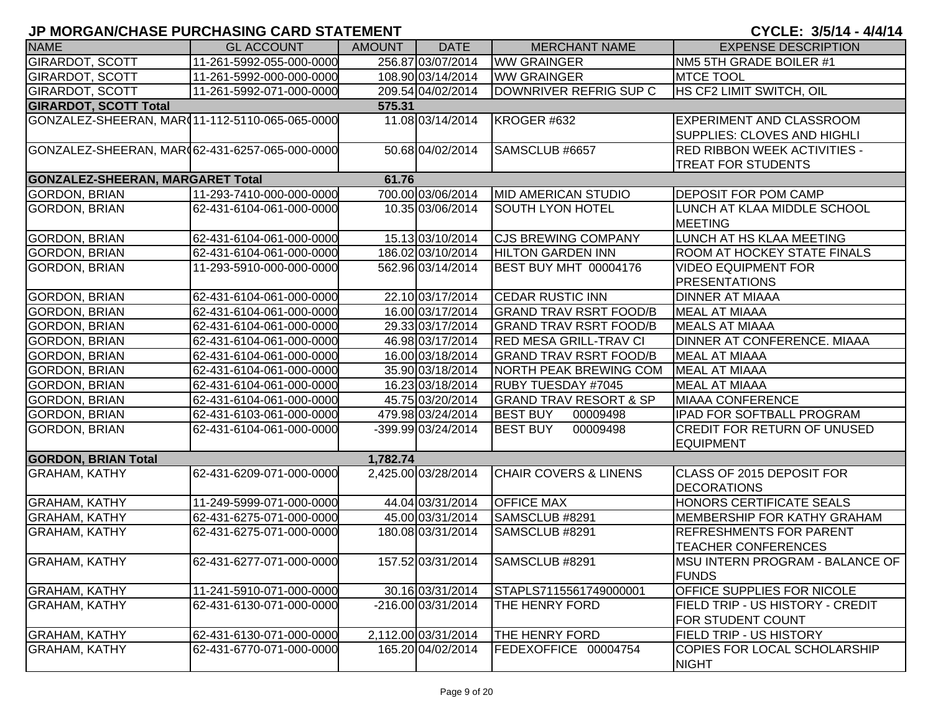| <b>NAME</b>                                    | <b>GL ACCOUNT</b>        | <b>AMOUNT</b> | <b>DATE</b>         | <b>MERCHANT NAME</b>              | <b>EXPENSE DESCRIPTION</b>          |
|------------------------------------------------|--------------------------|---------------|---------------------|-----------------------------------|-------------------------------------|
| <b>GIRARDOT, SCOTT</b>                         | 11-261-5992-055-000-0000 |               | 256.87 03/07/2014   | <b>WW GRAINGER</b>                | NM5 5TH GRADE BOILER #1             |
| <b>GIRARDOT, SCOTT</b>                         | 11-261-5992-000-000-0000 |               | 108.90 03/14/2014   | <b>WW GRAINGER</b>                | <b>MTCE TOOL</b>                    |
| <b>GIRARDOT, SCOTT</b>                         | 11-261-5992-071-000-0000 |               | 209.54 04/02/2014   | DOWNRIVER REFRIG SUP C            | HS CF2 LIMIT SWITCH, OIL            |
| <b>GIRARDOT, SCOTT Total</b>                   |                          | 575.31        |                     |                                   |                                     |
| GONZALEZ-SHEERAN, MAR(11-112-5110-065-065-0000 |                          |               | 11.08 03/14/2014    | KROGER #632                       | <b>EXPERIMENT AND CLASSROOM</b>     |
|                                                |                          |               |                     |                                   | <b>SUPPLIES: CLOVES AND HIGHLI</b>  |
| GONZALEZ-SHEERAN, MAR(62-431-6257-065-000-0000 |                          |               | 50.68 04/02/2014    | SAMSCLUB #6657                    | <b>RED RIBBON WEEK ACTIVITIES -</b> |
|                                                |                          |               |                     |                                   | <b>TREAT FOR STUDENTS</b>           |
| <b>GONZALEZ-SHEERAN, MARGARET Total</b>        |                          | 61.76         |                     |                                   |                                     |
| <b>GORDON, BRIAN</b>                           | 11-293-7410-000-000-0000 |               | 700.00 03/06/2014   | <b>MID AMERICAN STUDIO</b>        | <b>DEPOSIT FOR POM CAMP</b>         |
| <b>GORDON, BRIAN</b>                           | 62-431-6104-061-000-0000 |               | 10.35 03/06/2014    | <b>SOUTH LYON HOTEL</b>           | LUNCH AT KLAA MIDDLE SCHOOL         |
|                                                |                          |               |                     |                                   | <b>MEETING</b>                      |
| <b>GORDON, BRIAN</b>                           | 62-431-6104-061-000-0000 |               | 15.13 03/10/2014    | <b>CJS BREWING COMPANY</b>        | LUNCH AT HS KLAA MEETING            |
| <b>GORDON, BRIAN</b>                           | 62-431-6104-061-000-0000 |               | 186.02 03/10/2014   | <b>HILTON GARDEN INN</b>          | <b>ROOM AT HOCKEY STATE FINALS</b>  |
| <b>GORDON, BRIAN</b>                           | 11-293-5910-000-000-0000 |               | 562.96 03/14/2014   | BEST BUY MHT 00004176             | <b>VIDEO EQUIPMENT FOR</b>          |
|                                                |                          |               |                     |                                   | <b>PRESENTATIONS</b>                |
| <b>GORDON, BRIAN</b>                           | 62-431-6104-061-000-0000 |               | 22.10 03/17/2014    | <b>CEDAR RUSTIC INN</b>           | <b>DINNER AT MIAAA</b>              |
| <b>GORDON, BRIAN</b>                           | 62-431-6104-061-000-0000 |               | 16.00 03/17/2014    | <b>GRAND TRAV RSRT FOOD/B</b>     | <b>MEAL AT MIAAA</b>                |
| <b>GORDON, BRIAN</b>                           | 62-431-6104-061-000-0000 |               | 29.33 03/17/2014    | <b>GRAND TRAV RSRT FOOD/B</b>     | <b>MEALS AT MIAAA</b>               |
| <b>GORDON, BRIAN</b>                           | 62-431-6104-061-000-0000 |               | 46.98 03/17/2014    | <b>RED MESA GRILL-TRAV CI</b>     | DINNER AT CONFERENCE. MIAAA         |
| <b>GORDON, BRIAN</b>                           | 62-431-6104-061-000-0000 |               | 16.00 03/18/2014    | <b>GRAND TRAV RSRT FOOD/B</b>     | <b>MEAL AT MIAAA</b>                |
| <b>GORDON, BRIAN</b>                           | 62-431-6104-061-000-0000 |               | 35.90 03/18/2014    | NORTH PEAK BREWING COM            | <b>MEAL AT MIAAA</b>                |
| <b>GORDON, BRIAN</b>                           | 62-431-6104-061-000-0000 |               | 16.23 03/18/2014    | <b>RUBY TUESDAY #7045</b>         | <b>MEAL AT MIAAA</b>                |
| <b>GORDON, BRIAN</b>                           | 62-431-6104-061-000-0000 |               | 45.75 03/20/2014    | <b>GRAND TRAV RESORT &amp; SP</b> | <b>MIAAA CONFERENCE</b>             |
| <b>GORDON, BRIAN</b>                           | 62-431-6103-061-000-0000 |               | 479.98 03/24/2014   | <b>BEST BUY</b><br>00009498       | <b>IPAD FOR SOFTBALL PROGRAM</b>    |
| <b>GORDON, BRIAN</b>                           | 62-431-6104-061-000-0000 |               | -399.99 03/24/2014  | <b>BEST BUY</b><br>00009498       | <b>CREDIT FOR RETURN OF UNUSED</b>  |
|                                                |                          |               |                     |                                   | <b>EQUIPMENT</b>                    |
| <b>GORDON, BRIAN Total</b>                     |                          | 1,782.74      |                     |                                   |                                     |
| <b>GRAHAM, KATHY</b>                           | 62-431-6209-071-000-0000 |               | 2,425.00 03/28/2014 | <b>CHAIR COVERS &amp; LINENS</b>  | <b>CLASS OF 2015 DEPOSIT FOR</b>    |
|                                                |                          |               |                     |                                   | <b>DECORATIONS</b>                  |
| <b>GRAHAM, KATHY</b>                           | 11-249-5999-071-000-0000 |               | 44.04 03/31/2014    | <b>OFFICE MAX</b>                 | <b>HONORS CERTIFICATE SEALS</b>     |
| <b>GRAHAM, KATHY</b>                           | 62-431-6275-071-000-0000 |               | 45.00 03/31/2014    | SAMSCLUB #8291                    | <b>MEMBERSHIP FOR KATHY GRAHAM</b>  |
| <b>GRAHAM, KATHY</b>                           | 62-431-6275-071-000-0000 |               | 180.08 03/31/2014   | SAMSCLUB #8291                    | <b>REFRESHMENTS FOR PARENT</b>      |
|                                                |                          |               |                     |                                   | <b>TEACHER CONFERENCES</b>          |
| <b>GRAHAM, KATHY</b>                           | 62-431-6277-071-000-0000 |               | 157.52 03/31/2014   | SAMSCLUB #8291                    | MSU INTERN PROGRAM - BALANCE OF     |
|                                                |                          |               |                     |                                   | <b>FUNDS</b>                        |
| <b>GRAHAM, KATHY</b>                           | 11-241-5910-071-000-0000 |               | 30.16 03/31/2014    | STAPLS7115561749000001            | OFFICE SUPPLIES FOR NICOLE          |
| <b>GRAHAM, KATHY</b>                           | 62-431-6130-071-000-0000 |               | -216.00 03/31/2014  | THE HENRY FORD                    | FIELD TRIP - US HISTORY - CREDIT    |
|                                                |                          |               |                     |                                   | <b>FOR STUDENT COUNT</b>            |
| <b>GRAHAM, KATHY</b>                           | 62-431-6130-071-000-0000 |               | 2,112.00 03/31/2014 | THE HENRY FORD                    | <b>FIELD TRIP - US HISTORY</b>      |
| <b>GRAHAM, KATHY</b>                           | 62-431-6770-071-000-0000 |               | 165.20 04/02/2014   | FEDEXOFFICE 00004754              | COPIES FOR LOCAL SCHOLARSHIP        |
|                                                |                          |               |                     |                                   | <b>NIGHT</b>                        |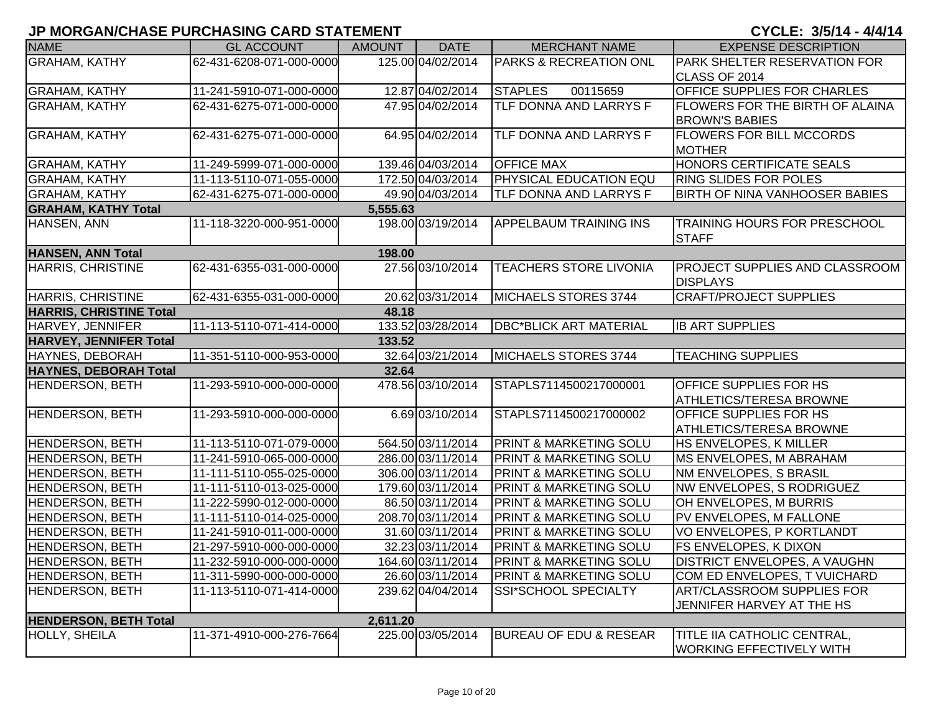| <b>NAME</b>                    | <b>GL ACCOUNT</b>        | <b>AMOUNT</b> | <b>DATE</b>       | <b>MERCHANT NAME</b>              | <b>EXPENSE DESCRIPTION</b>             |
|--------------------------------|--------------------------|---------------|-------------------|-----------------------------------|----------------------------------------|
| <b>GRAHAM, KATHY</b>           | 62-431-6208-071-000-0000 |               | 125.00 04/02/2014 | <b>PARKS &amp; RECREATION ONL</b> | <b>PARK SHELTER RESERVATION FOR</b>    |
|                                |                          |               |                   |                                   | CLASS OF 2014                          |
| <b>GRAHAM, KATHY</b>           | 11-241-5910-071-000-0000 |               | 12.87 04/02/2014  | <b>STAPLES</b><br>00115659        | OFFICE SUPPLIES FOR CHARLES            |
| <b>GRAHAM, KATHY</b>           | 62-431-6275-071-000-0000 |               | 47.95 04/02/2014  | <b>TLF DONNA AND LARRYS F</b>     | <b>FLOWERS FOR THE BIRTH OF ALAINA</b> |
|                                |                          |               |                   |                                   | <b>BROWN'S BABIES</b>                  |
| <b>GRAHAM, KATHY</b>           | 62-431-6275-071-000-0000 |               | 64.95 04/02/2014  | <b>TLF DONNA AND LARRYS F</b>     | <b>FLOWERS FOR BILL MCCORDS</b>        |
|                                |                          |               |                   |                                   | <b>MOTHER</b>                          |
| <b>GRAHAM, KATHY</b>           | 11-249-5999-071-000-0000 |               | 139.46 04/03/2014 | <b>OFFICE MAX</b>                 | HONORS CERTIFICATE SEALS               |
| <b>GRAHAM, KATHY</b>           | 11-113-5110-071-055-0000 |               | 172.50 04/03/2014 | <b>PHYSICAL EDUCATION EQU</b>     | <b>RING SLIDES FOR POLES</b>           |
| <b>GRAHAM, KATHY</b>           | 62-431-6275-071-000-0000 |               | 49.90 04/03/2014  | <b>TLF DONNA AND LARRYS F</b>     | <b>BIRTH OF NINA VANHOOSER BABIES</b>  |
| <b>GRAHAM, KATHY Total</b>     |                          | 5,555.63      |                   |                                   |                                        |
| HANSEN, ANN                    | 11-118-3220-000-951-0000 |               | 198.00 03/19/2014 | <b>APPELBAUM TRAINING INS</b>     | <b>TRAINING HOURS FOR PRESCHOOL</b>    |
|                                |                          |               |                   |                                   | <b>STAFF</b>                           |
| <b>HANSEN, ANN Total</b>       |                          | 198.00        |                   |                                   |                                        |
| HARRIS, CHRISTINE              | 62-431-6355-031-000-0000 |               | 27.56 03/10/2014  | TEACHERS STORE LIVONIA            | <b>PROJECT SUPPLIES AND CLASSROOM</b>  |
|                                |                          |               |                   |                                   | <b>DISPLAYS</b>                        |
| <b>HARRIS, CHRISTINE</b>       | 62-431-6355-031-000-0000 |               | 20.62 03/31/2014  | MICHAELS STORES 3744              | <b>CRAFT/PROJECT SUPPLIES</b>          |
| <b>HARRIS, CHRISTINE Total</b> |                          | 48.18         |                   |                                   |                                        |
| HARVEY, JENNIFER               | 11-113-5110-071-414-0000 |               | 133.52 03/28/2014 | <b>DBC*BLICK ART MATERIAL</b>     | <b>IB ART SUPPLIES</b>                 |
| <b>HARVEY, JENNIFER Total</b>  |                          | 133.52        |                   |                                   |                                        |
| HAYNES, DEBORAH                | 11-351-5110-000-953-0000 |               | 32.64 03/21/2014  | MICHAELS STORES 3744              | <b>TEACHING SUPPLIES</b>               |
| <b>HAYNES, DEBORAH Total</b>   |                          | 32.64         |                   |                                   |                                        |
| <b>HENDERSON, BETH</b>         | 11-293-5910-000-000-0000 |               | 478.56 03/10/2014 | STAPLS7114500217000001            | <b>OFFICE SUPPLIES FOR HS</b>          |
|                                |                          |               |                   |                                   | <b>ATHLETICS/TERESA BROWNE</b>         |
| <b>HENDERSON, BETH</b>         | 11-293-5910-000-000-0000 |               | 6.69 03/10/2014   | STAPLS7114500217000002            | <b>OFFICE SUPPLIES FOR HS</b>          |
|                                |                          |               |                   |                                   | <b>ATHLETICS/TERESA BROWNE</b>         |
| HENDERSON, BETH                | 11-113-5110-071-079-0000 |               | 564.50 03/11/2014 | <b>PRINT &amp; MARKETING SOLU</b> | HS ENVELOPES, K MILLER                 |
| HENDERSON, BETH                | 11-241-5910-065-000-0000 |               | 286.00 03/11/2014 | <b>PRINT &amp; MARKETING SOLU</b> | <b>MS ENVELOPES, M ABRAHAM</b>         |
| HENDERSON, BETH                | 11-111-5110-055-025-0000 |               | 306.00 03/11/2014 | <b>PRINT &amp; MARKETING SOLU</b> | NM ENVELOPES, S BRASIL                 |
| HENDERSON, BETH                | 11-111-5110-013-025-0000 |               | 179.60 03/11/2014 | <b>PRINT &amp; MARKETING SOLU</b> | <b>NW ENVELOPES, S RODRIGUEZ</b>       |
| HENDERSON, BETH                | 11-222-5990-012-000-0000 |               | 86.50 03/11/2014  | <b>PRINT &amp; MARKETING SOLU</b> | OH ENVELOPES, M BURRIS                 |
| <b>HENDERSON, BETH</b>         | 11-111-5110-014-025-0000 |               | 208.70 03/11/2014 | <b>PRINT &amp; MARKETING SOLU</b> | <b>PV ENVELOPES, M FALLONE</b>         |
| HENDERSON, BETH                | 11-241-5910-011-000-0000 |               | 31.60 03/11/2014  | <b>PRINT &amp; MARKETING SOLU</b> | VO ENVELOPES, P KORTLANDT              |
| HENDERSON, BETH                | 21-297-5910-000-000-0000 |               | 32.23 03/11/2014  | PRINT & MARKETING SOLU            | FS ENVELOPES, K DIXON                  |
| <b>HENDERSON, BETH</b>         | 11-232-5910-000-000-0000 |               | 164.60 03/11/2014 | <b>PRINT &amp; MARKETING SOLU</b> | <b>DISTRICT ENVELOPES, A VAUGHN</b>    |
| <b>HENDERSON, BETH</b>         | 11-311-5990-000-000-0000 |               | 26.60 03/11/2014  | <b>PRINT &amp; MARKETING SOLU</b> | COM ED ENVELOPES, T VUICHARD           |
| <b>HENDERSON, BETH</b>         | 11-113-5110-071-414-0000 |               | 239.62 04/04/2014 | SSI*SCHOOL SPECIALTY              | <b>ART/CLASSROOM SUPPLIES FOR</b>      |
|                                |                          |               |                   |                                   | JENNIFER HARVEY AT THE HS              |
| <b>HENDERSON, BETH Total</b>   |                          | 2,611.20      |                   |                                   |                                        |
| HOLLY, SHEILA                  | 11-371-4910-000-276-7664 |               | 225.00 03/05/2014 | <b>BUREAU OF EDU &amp; RESEAR</b> | TITLE IIA CATHOLIC CENTRAL,            |
|                                |                          |               |                   |                                   | <b>WORKING EFFECTIVELY WITH</b>        |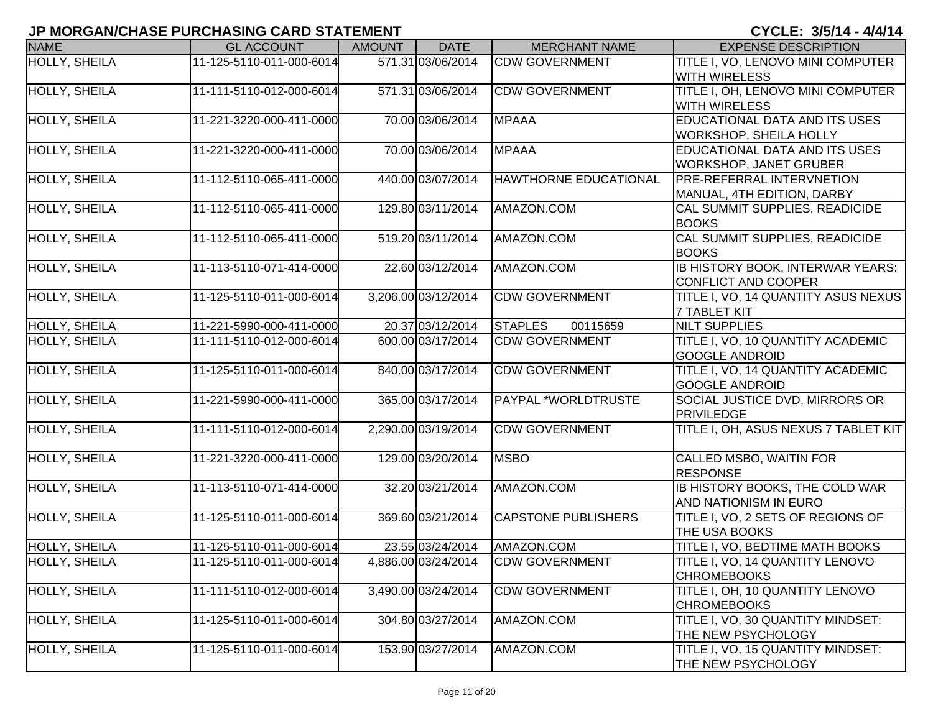| <b>NAME</b>          | <b>GL ACCOUNT</b>        | <b>AMOUNT</b> | <b>DATE</b>         | <b>MERCHANT NAME</b>         | <b>EXPENSE DESCRIPTION</b>           |
|----------------------|--------------------------|---------------|---------------------|------------------------------|--------------------------------------|
| <b>HOLLY, SHEILA</b> | 11-125-5110-011-000-6014 |               | 571.31 03/06/2014   | <b>CDW GOVERNMENT</b>        | TITLE I, VO, LENOVO MINI COMPUTER    |
|                      |                          |               |                     |                              | <b>WITH WIRELESS</b>                 |
| <b>HOLLY, SHEILA</b> | 11-111-5110-012-000-6014 |               | 571.31 03/06/2014   | <b>CDW GOVERNMENT</b>        | TITLE I, OH, LENOVO MINI COMPUTER    |
|                      |                          |               |                     |                              | <b>WITH WIRELESS</b>                 |
| <b>HOLLY, SHEILA</b> | 11-221-3220-000-411-0000 |               | 70.00 03/06/2014    | <b>MPAAA</b>                 | <b>EDUCATIONAL DATA AND ITS USES</b> |
|                      |                          |               |                     |                              | <b>WORKSHOP, SHEILA HOLLY</b>        |
| <b>HOLLY, SHEILA</b> | 11-221-3220-000-411-0000 |               | 70.00 03/06/2014    | <b>MPAAA</b>                 | <b>EDUCATIONAL DATA AND ITS USES</b> |
|                      |                          |               |                     |                              | <b>WORKSHOP, JANET GRUBER</b>        |
| HOLLY, SHEILA        | 11-112-5110-065-411-0000 |               | 440.00 03/07/2014   | <b>HAWTHORNE EDUCATIONAL</b> | <b>PRE-REFERRAL INTERVNETION</b>     |
|                      |                          |               |                     |                              | MANUAL, 4TH EDITION, DARBY           |
| HOLLY, SHEILA        | 11-112-5110-065-411-0000 |               | 129.80 03/11/2014   | AMAZON.COM                   | CAL SUMMIT SUPPLIES, READICIDE       |
|                      |                          |               |                     |                              | <b>BOOKS</b>                         |
| HOLLY, SHEILA        | 11-112-5110-065-411-0000 |               | 519.20 03/11/2014   | AMAZON.COM                   | CAL SUMMIT SUPPLIES, READICIDE       |
|                      |                          |               |                     |                              | <b>BOOKS</b>                         |
| <b>HOLLY, SHEILA</b> | 11-113-5110-071-414-0000 |               | 22.60 03/12/2014    | AMAZON.COM                   | IB HISTORY BOOK, INTERWAR YEARS:     |
|                      |                          |               |                     |                              | <b>CONFLICT AND COOPER</b>           |
| <b>HOLLY, SHEILA</b> | 11-125-5110-011-000-6014 |               | 3,206.00 03/12/2014 | <b>CDW GOVERNMENT</b>        | TITLE I, VO, 14 QUANTITY ASUS NEXUS  |
|                      |                          |               |                     |                              | <b>7 TABLET KIT</b>                  |
| HOLLY, SHEILA        | 11-221-5990-000-411-0000 |               | 20.37 03/12/2014    | <b>STAPLES</b><br>00115659   | <b>NILT SUPPLIES</b>                 |
| HOLLY, SHEILA        | 11-111-5110-012-000-6014 |               | 600.00 03/17/2014   | <b>CDW GOVERNMENT</b>        | TITLE I, VO, 10 QUANTITY ACADEMIC    |
|                      |                          |               |                     |                              | <b>GOOGLE ANDROID</b>                |
| <b>HOLLY, SHEILA</b> | 11-125-5110-011-000-6014 |               | 840.00 03/17/2014   | <b>CDW GOVERNMENT</b>        | TITLE I, VO, 14 QUANTITY ACADEMIC    |
|                      |                          |               |                     |                              | <b>GOOGLE ANDROID</b>                |
| HOLLY, SHEILA        | 11-221-5990-000-411-0000 |               | 365.00 03/17/2014   | PAYPAL *WORLDTRUSTE          | SOCIAL JUSTICE DVD, MIRRORS OR       |
|                      |                          |               |                     |                              | PRIVILEDGE                           |
| <b>HOLLY, SHEILA</b> | 11-111-5110-012-000-6014 |               | 2,290.00 03/19/2014 | <b>CDW GOVERNMENT</b>        | TITLE I, OH, ASUS NEXUS 7 TABLET KIT |
|                      |                          |               |                     |                              |                                      |
| <b>HOLLY, SHEILA</b> | 11-221-3220-000-411-0000 |               | 129.00 03/20/2014   | <b>MSBO</b>                  | CALLED MSBO, WAITIN FOR              |
|                      |                          |               |                     |                              | <b>RESPONSE</b>                      |
| HOLLY, SHEILA        | 11-113-5110-071-414-0000 |               | 32.20 03/21/2014    | AMAZON.COM                   | IB HISTORY BOOKS, THE COLD WAR       |
|                      |                          |               |                     |                              | AND NATIONISM IN EURO                |
| <b>HOLLY, SHEILA</b> | 11-125-5110-011-000-6014 |               | 369.60 03/21/2014   | <b>CAPSTONE PUBLISHERS</b>   | TITLE I, VO, 2 SETS OF REGIONS OF    |
|                      |                          |               |                     |                              | THE USA BOOKS                        |
| HOLLY, SHEILA        | 11-125-5110-011-000-6014 |               | 23.55 03/24/2014    | AMAZON.COM                   | TITLE I, VO, BEDTIME MATH BOOKS      |
| HOLLY, SHEILA        | 11-125-5110-011-000-6014 |               | 4,886.00 03/24/2014 | <b>CDW GOVERNMENT</b>        | TITLE I, VO, 14 QUANTITY LENOVO      |
|                      |                          |               |                     |                              | <b>CHROMEBOOKS</b>                   |
| <b>HOLLY, SHEILA</b> | 11-111-5110-012-000-6014 |               | 3,490.00 03/24/2014 | <b>CDW GOVERNMENT</b>        | TITLE I, OH, 10 QUANTITY LENOVO      |
|                      |                          |               |                     |                              | <b>CHROMEBOOKS</b>                   |
| <b>HOLLY, SHEILA</b> | 11-125-5110-011-000-6014 |               | 304.80 03/27/2014   | AMAZON.COM                   | TITLE I, VO, 30 QUANTITY MINDSET:    |
|                      |                          |               |                     |                              | THE NEW PSYCHOLOGY                   |
| HOLLY, SHEILA        | 11-125-5110-011-000-6014 |               | 153.90 03/27/2014   | AMAZON.COM                   | TITLE I, VO, 15 QUANTITY MINDSET:    |
|                      |                          |               |                     |                              | THE NEW PSYCHOLOGY                   |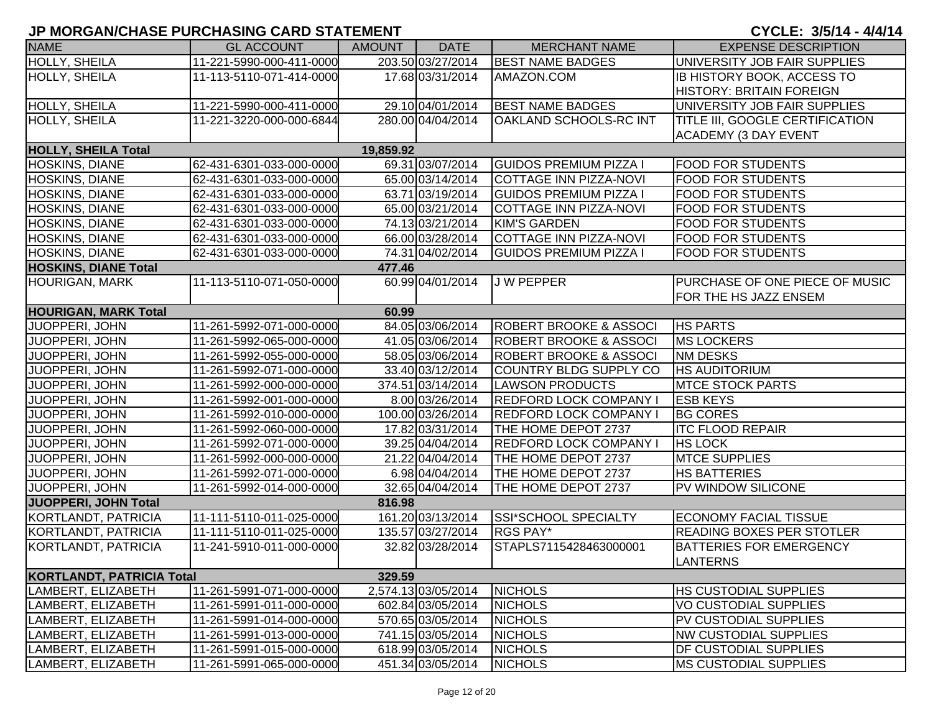| <b>NAME</b>                      | <b>GL ACCOUNT</b>        | AMOUNT    | <b>DATE</b>         | <b>MERCHANT NAME</b>              | <b>EXPENSE DESCRIPTION</b>        |
|----------------------------------|--------------------------|-----------|---------------------|-----------------------------------|-----------------------------------|
| HOLLY, SHEILA                    | 11-221-5990-000-411-0000 |           | 203.50 03/27/2014   | <b>BEST NAME BADGES</b>           | UNIVERSITY JOB FAIR SUPPLIES      |
| HOLLY, SHEILA                    | 11-113-5110-071-414-0000 |           | 17.68 03/31/2014    | AMAZON.COM                        | <b>IB HISTORY BOOK, ACCESS TO</b> |
|                                  |                          |           |                     |                                   | <b>HISTORY: BRITAIN FOREIGN</b>   |
| HOLLY, SHEILA                    | 11-221-5990-000-411-0000 |           | 29.10 04/01/2014    | <b>BEST NAME BADGES</b>           | UNIVERSITY JOB FAIR SUPPLIES      |
| HOLLY, SHEILA                    | 11-221-3220-000-000-6844 |           | 280.00 04/04/2014   | <b>OAKLAND SCHOOLS-RC INT</b>     | TITLE III, GOOGLE CERTIFICATION   |
|                                  |                          |           |                     |                                   | <b>ACADEMY (3 DAY EVENT</b>       |
| <b>HOLLY, SHEILA Total</b>       |                          | 19,859.92 |                     |                                   |                                   |
| <b>HOSKINS, DIANE</b>            | 62-431-6301-033-000-0000 |           | 69.31 03/07/2014    | <b>GUIDOS PREMIUM PIZZA I</b>     | <b>FOOD FOR STUDENTS</b>          |
| <b>HOSKINS, DIANE</b>            | 62-431-6301-033-000-0000 |           | 65.00 03/14/2014    | <b>COTTAGE INN PIZZA-NOVI</b>     | <b>FOOD FOR STUDENTS</b>          |
| <b>HOSKINS, DIANE</b>            | 62-431-6301-033-000-0000 |           | 63.71 03/19/2014    | <b>GUIDOS PREMIUM PIZZA I</b>     | <b>FOOD FOR STUDENTS</b>          |
| <b>HOSKINS, DIANE</b>            | 62-431-6301-033-000-0000 |           | 65.00 03/21/2014    | COTTAGE INN PIZZA-NOVI            | <b>FOOD FOR STUDENTS</b>          |
| <b>HOSKINS, DIANE</b>            | 62-431-6301-033-000-0000 |           | 74.13 03/21/2014    | <b>KIM'S GARDEN</b>               | <b>FOOD FOR STUDENTS</b>          |
| <b>HOSKINS, DIANE</b>            | 62-431-6301-033-000-0000 |           | 66.00 03/28/2014    | <b>COTTAGE INN PIZZA-NOVI</b>     | <b>FOOD FOR STUDENTS</b>          |
| <b>HOSKINS, DIANE</b>            | 62-431-6301-033-000-0000 |           | 74.31 04/02/2014    | <b>GUIDOS PREMIUM PIZZA I</b>     | <b>FOOD FOR STUDENTS</b>          |
| <b>HOSKINS, DIANE Total</b>      |                          | 477.46    |                     |                                   |                                   |
| <b>HOURIGAN, MARK</b>            | 11-113-5110-071-050-0000 |           | 60.99 04/01/2014    | J W PEPPER                        | PURCHASE OF ONE PIECE OF MUSIC    |
|                                  |                          |           |                     |                                   | FOR THE HS JAZZ ENSEM             |
| <b>HOURIGAN, MARK Total</b>      |                          | 60.99     |                     |                                   |                                   |
| JUOPPERI, JOHN                   | 11-261-5992-071-000-0000 |           | 84.05 03/06/2014    | <b>ROBERT BROOKE &amp; ASSOCI</b> | <b>HS PARTS</b>                   |
| JUOPPERI, JOHN                   | 11-261-5992-065-000-0000 |           | 41.05 03/06/2014    | <b>ROBERT BROOKE &amp; ASSOCI</b> | <b>MS LOCKERS</b>                 |
| JUOPPERI, JOHN                   | 11-261-5992-055-000-0000 |           | 58.05 03/06/2014    | <b>ROBERT BROOKE &amp; ASSOCI</b> | <b>NM DESKS</b>                   |
| JUOPPERI, JOHN                   | 11-261-5992-071-000-0000 |           | 33.40 03/12/2014    | COUNTRY BLDG SUPPLY CO            | <b>HS AUDITORIUM</b>              |
| JUOPPERI, JOHN                   | 11-261-5992-000-000-0000 |           | 374.51 03/14/2014   | <b>LAWSON PRODUCTS</b>            | <b>MTCE STOCK PARTS</b>           |
| <b>JUOPPERI, JOHN</b>            | 11-261-5992-001-000-0000 |           | 8.00 03/26/2014     | <b>REDFORD LOCK COMPANY I</b>     | <b>ESB KEYS</b>                   |
| JUOPPERI, JOHN                   | 11-261-5992-010-000-0000 |           | 100.00 03/26/2014   | <b>REDFORD LOCK COMPANY I</b>     | <b>BG CORES</b>                   |
| JUOPPERI, JOHN                   | 11-261-5992-060-000-0000 |           | 17.82 03/31/2014    | THE HOME DEPOT 2737               | <b>ITC FLOOD REPAIR</b>           |
| JUOPPERI, JOHN                   | 11-261-5992-071-000-0000 |           | 39.25 04/04/2014    | <b>REDFORD LOCK COMPANY I</b>     | <b>HS LOCK</b>                    |
| JUOPPERI, JOHN                   | 11-261-5992-000-000-0000 |           | 21.22 04/04/2014    | THE HOME DEPOT 2737               | <b>MTCE SUPPLIES</b>              |
| JUOPPERI, JOHN                   | 11-261-5992-071-000-0000 |           | 6.98 04/04/2014     | THE HOME DEPOT 2737               | <b>HS BATTERIES</b>               |
| JUOPPERI, JOHN                   | 11-261-5992-014-000-0000 |           | 32.65 04/04/2014    | THE HOME DEPOT 2737               | PV WINDOW SILICONE                |
| JUOPPERI, JOHN Total             |                          | 816.98    |                     |                                   |                                   |
| KORTLANDT, PATRICIA              | 11-111-5110-011-025-0000 |           | 161.20 03/13/2014   | <b>SSI*SCHOOL SPECIALTY</b>       | <b>ECONOMY FACIAL TISSUE</b>      |
| KORTLANDT, PATRICIA              | 11-111-5110-011-025-0000 |           | 135.57 03/27/2014   | <b>RGS PAY*</b>                   | <b>READING BOXES PER STOTLER</b>  |
| KORTLANDT, PATRICIA              | 11-241-5910-011-000-0000 |           | 32.82 03/28/2014    | STAPLS7115428463000001            | <b>BATTERIES FOR EMERGENCY</b>    |
|                                  |                          |           |                     |                                   | <b>LANTERNS</b>                   |
| <b>KORTLANDT, PATRICIA Total</b> |                          | 329.59    |                     |                                   |                                   |
| LAMBERT, ELIZABETH               | 11-261-5991-071-000-0000 |           | 2,574.13 03/05/2014 | <b>NICHOLS</b>                    | <b>HS CUSTODIAL SUPPLIES</b>      |
| LAMBERT, ELIZABETH               | 11-261-5991-011-000-0000 |           | 602.84 03/05/2014   | <b>NICHOLS</b>                    | <b>VO CUSTODIAL SUPPLIES</b>      |
| LAMBERT, ELIZABETH               | 11-261-5991-014-000-0000 |           | 570.65 03/05/2014   | <b>NICHOLS</b>                    | PV CUSTODIAL SUPPLIES             |
| LAMBERT, ELIZABETH               | 11-261-5991-013-000-0000 |           | 741.15 03/05/2014   | <b>NICHOLS</b>                    | <b>NW CUSTODIAL SUPPLIES</b>      |
| LAMBERT, ELIZABETH               | 11-261-5991-015-000-0000 |           | 618.99 03/05/2014   | <b>NICHOLS</b>                    | DF CUSTODIAL SUPPLIES             |
| LAMBERT, ELIZABETH               | 11-261-5991-065-000-0000 |           | 451.34 03/05/2014   | <b>NICHOLS</b>                    | <b>MS CUSTODIAL SUPPLIES</b>      |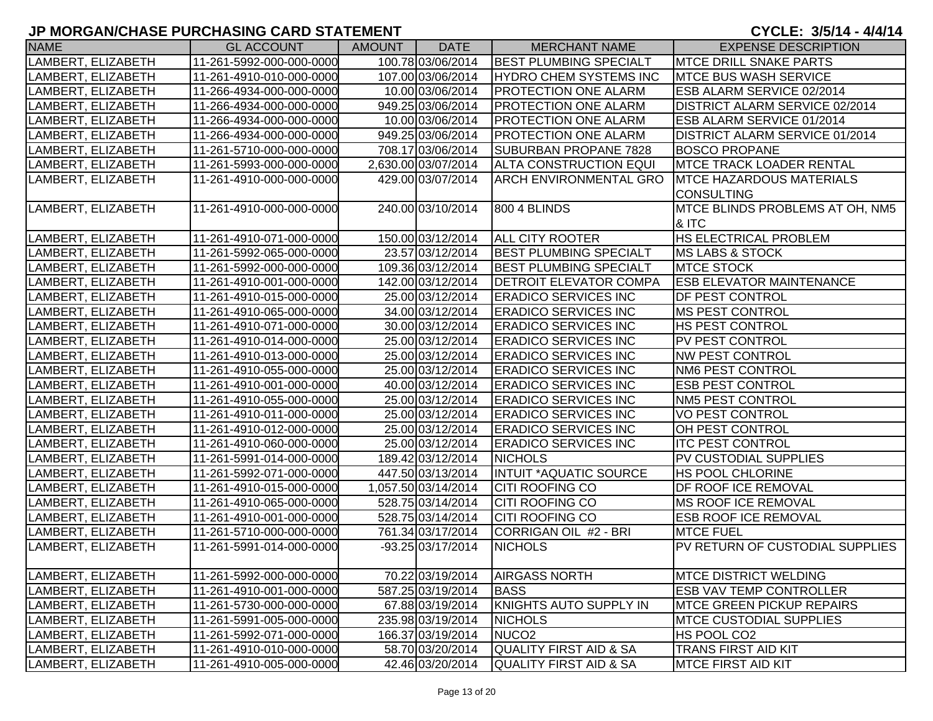| <b>NAME</b>        | <b>GL ACCOUNT</b>        | AMOUNT | <b>DATE</b>         | <b>MERCHANT NAME</b>          | <b>EXPENSE DESCRIPTION</b>            |
|--------------------|--------------------------|--------|---------------------|-------------------------------|---------------------------------------|
| LAMBERT, ELIZABETH | 11-261-5992-000-000-0000 |        | 100.78 03/06/2014   | <b>BEST PLUMBING SPECIALT</b> | <b>IMTCE DRILL SNAKE PARTS</b>        |
| LAMBERT, ELIZABETH | 11-261-4910-010-000-0000 |        | 107.00 03/06/2014   | <b>HYDRO CHEM SYSTEMS INC</b> | <b>MTCE BUS WASH SERVICE</b>          |
| LAMBERT, ELIZABETH | 11-266-4934-000-000-0000 |        | 10.00 03/06/2014    | <b>PROTECTION ONE ALARM</b>   | ESB ALARM SERVICE 02/2014             |
| LAMBERT, ELIZABETH | 11-266-4934-000-000-0000 |        | 949.25 03/06/2014   | <b>PROTECTION ONE ALARM</b>   | <b>DISTRICT ALARM SERVICE 02/2014</b> |
| LAMBERT, ELIZABETH | 11-266-4934-000-000-0000 |        | 10.00 03/06/2014    | <b>PROTECTION ONE ALARM</b>   | <b>ESB ALARM SERVICE 01/2014</b>      |
| LAMBERT, ELIZABETH | 11-266-4934-000-000-0000 |        | 949.25 03/06/2014   | <b>PROTECTION ONE ALARM</b>   | <b>DISTRICT ALARM SERVICE 01/2014</b> |
| LAMBERT, ELIZABETH | 11-261-5710-000-000-0000 |        | 708.17 03/06/2014   | SUBURBAN PROPANE 7828         | <b>BOSCO PROPANE</b>                  |
| LAMBERT, ELIZABETH | 11-261-5993-000-000-0000 |        | 2,630.00 03/07/2014 | <b>ALTA CONSTRUCTION EQUI</b> | <b>IMTCE TRACK LOADER RENTAL</b>      |
| LAMBERT, ELIZABETH | 11-261-4910-000-000-0000 |        | 429.00 03/07/2014   | <b>ARCH ENVIRONMENTAL GRO</b> | <b>MTCE HAZARDOUS MATERIALS</b>       |
|                    |                          |        |                     |                               | <b>CONSULTING</b>                     |
| LAMBERT, ELIZABETH | 11-261-4910-000-000-0000 |        | 240.00 03/10/2014   | 800 4 BLINDS                  | MTCE BLINDS PROBLEMS AT OH, NM5       |
|                    |                          |        |                     |                               | & ITC                                 |
| LAMBERT, ELIZABETH | 11-261-4910-071-000-0000 |        | 150.00 03/12/2014   | <b>ALL CITY ROOTER</b>        | <b>HS ELECTRICAL PROBLEM</b>          |
| LAMBERT, ELIZABETH | 11-261-5992-065-000-0000 |        | 23.57 03/12/2014    | <b>BEST PLUMBING SPECIALT</b> | <b>MS LABS &amp; STOCK</b>            |
| LAMBERT, ELIZABETH | 11-261-5992-000-000-0000 |        | 109.36 03/12/2014   | <b>BEST PLUMBING SPECIALT</b> | <b>MTCE STOCK</b>                     |
| LAMBERT, ELIZABETH | 11-261-4910-001-000-0000 |        | 142.00 03/12/2014   | <b>DETROIT ELEVATOR COMPA</b> | <b>ESB ELEVATOR MAINTENANCE</b>       |
| LAMBERT, ELIZABETH | 11-261-4910-015-000-0000 |        | 25.00 03/12/2014    | <b>ERADICO SERVICES INC</b>   | <b>DF PEST CONTROL</b>                |
| LAMBERT, ELIZABETH | 11-261-4910-065-000-0000 |        | 34.00 03/12/2014    | <b>ERADICO SERVICES INC</b>   | <b>MS PEST CONTROL</b>                |
| LAMBERT, ELIZABETH | 11-261-4910-071-000-0000 |        | 30.00 03/12/2014    | <b>ERADICO SERVICES INC</b>   | <b>HS PEST CONTROL</b>                |
| LAMBERT, ELIZABETH | 11-261-4910-014-000-0000 |        | 25.00 03/12/2014    | <b>ERADICO SERVICES INC</b>   | <b>PV PEST CONTROL</b>                |
| LAMBERT, ELIZABETH | 11-261-4910-013-000-0000 |        | 25.00 03/12/2014    | <b>ERADICO SERVICES INC</b>   | <b>NW PEST CONTROL</b>                |
| LAMBERT, ELIZABETH | 11-261-4910-055-000-0000 |        | 25.00 03/12/2014    | <b>ERADICO SERVICES INC</b>   | <b>NM6 PEST CONTROL</b>               |
| LAMBERT, ELIZABETH | 11-261-4910-001-000-0000 |        | 40.00 03/12/2014    | <b>ERADICO SERVICES INC</b>   | <b>ESB PEST CONTROL</b>               |
| LAMBERT, ELIZABETH | 11-261-4910-055-000-0000 |        | 25.00 03/12/2014    | <b>ERADICO SERVICES INC</b>   | <b>NM5 PEST CONTROL</b>               |
| LAMBERT, ELIZABETH | 11-261-4910-011-000-0000 |        | 25.00 03/12/2014    | <b>ERADICO SERVICES INC</b>   | VO PEST CONTROL                       |
| LAMBERT, ELIZABETH | 11-261-4910-012-000-0000 |        | 25.00 03/12/2014    | <b>ERADICO SERVICES INC</b>   | OH PEST CONTROL                       |
| LAMBERT, ELIZABETH | 11-261-4910-060-000-0000 |        | 25.00 03/12/2014    | <b>ERADICO SERVICES INC</b>   | <b>ITC PEST CONTROL</b>               |
| LAMBERT, ELIZABETH | 11-261-5991-014-000-0000 |        | 189.42 03/12/2014   | <b>NICHOLS</b>                | <b>PV CUSTODIAL SUPPLIES</b>          |
| LAMBERT, ELIZABETH | 11-261-5992-071-000-0000 |        | 447.50 03/13/2014   | <b>INTUIT *AQUATIC SOURCE</b> | <b>HS POOL CHLORINE</b>               |
| LAMBERT, ELIZABETH | 11-261-4910-015-000-0000 |        | 1,057.50 03/14/2014 | <b>CITI ROOFING CO</b>        | <b>DF ROOF ICE REMOVAL</b>            |
| LAMBERT, ELIZABETH | 11-261-4910-065-000-0000 |        | 528.75 03/14/2014   | <b>CITI ROOFING CO</b>        | MS ROOF ICE REMOVAL                   |
| LAMBERT, ELIZABETH | 11-261-4910-001-000-0000 |        | 528.75 03/14/2014   | <b>CITI ROOFING CO</b>        | <b>ESB ROOF ICE REMOVAL</b>           |
| LAMBERT, ELIZABETH | 11-261-5710-000-000-0000 |        | 761.34 03/17/2014   | CORRIGAN OIL #2 - BRI         | <b>MTCE FUEL</b>                      |
| LAMBERT, ELIZABETH | 11-261-5991-014-000-0000 |        | -93.25 03/17/2014   | <b>NICHOLS</b>                | PV RETURN OF CUSTODIAL SUPPLIES       |
|                    |                          |        |                     |                               |                                       |
| LAMBERT, ELIZABETH | 11-261-5992-000-000-0000 |        | 70.22 03/19/2014    | <b>AIRGASS NORTH</b>          | <b>IMTCE DISTRICT WELDING</b>         |
| LAMBERT, ELIZABETH | 11-261-4910-001-000-0000 |        | 587.25 03/19/2014   | <b>BASS</b>                   | <b>ESB VAV TEMP CONTROLLER</b>        |
| LAMBERT, ELIZABETH | 11-261-5730-000-000-0000 |        | 67.88 03/19/2014    | KNIGHTS AUTO SUPPLY IN        | <b>MTCE GREEN PICKUP REPAIRS</b>      |
| LAMBERT, ELIZABETH | 11-261-5991-005-000-0000 |        | 235.98 03/19/2014   | <b>NICHOLS</b>                | <b>IMTCE CUSTODIAL SUPPLIES</b>       |
| LAMBERT, ELIZABETH | 11-261-5992-071-000-0000 |        | 166.37 03/19/2014   | NUCO <sub>2</sub>             | HS POOL CO2                           |
| LAMBERT, ELIZABETH | 11-261-4910-010-000-0000 |        | 58.70 03/20/2014    | QUALITY FIRST AID & SA        | <b>TRANS FIRST AID KIT</b>            |
| LAMBERT, ELIZABETH | 11-261-4910-005-000-0000 |        | 42.46 03/20/2014    | QUALITY FIRST AID & SA        | <b>MTCE FIRST AID KIT</b>             |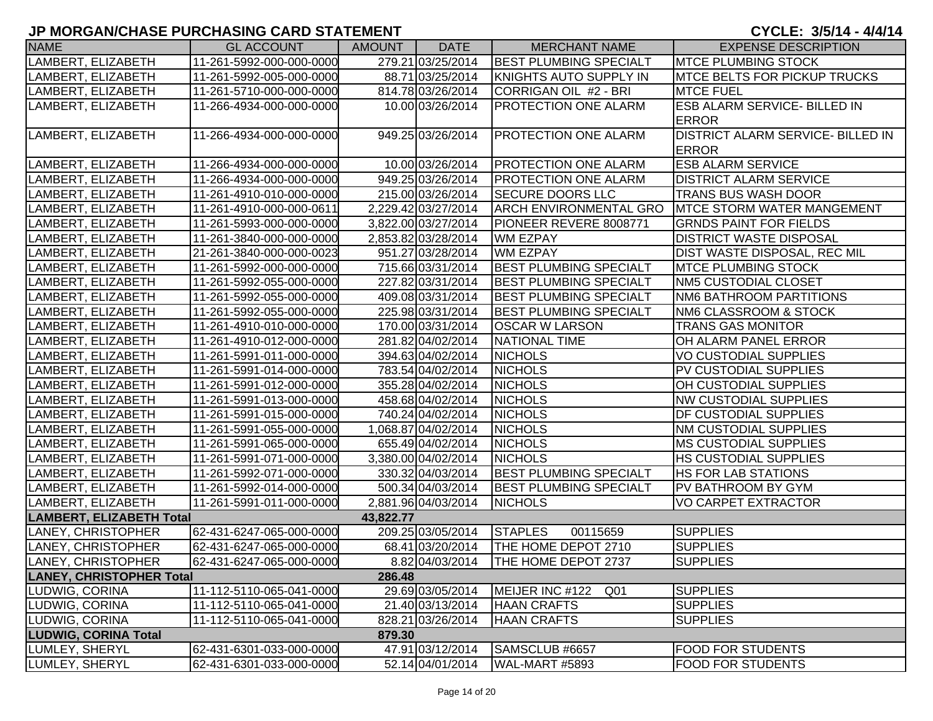| <b>NAME</b>                     | <b>GL ACCOUNT</b>        | <b>AMOUNT</b> | <b>DATE</b>         | <b>MERCHANT NAME</b>               | <b>EXPENSE DESCRIPTION</b>               |
|---------------------------------|--------------------------|---------------|---------------------|------------------------------------|------------------------------------------|
| LAMBERT, ELIZABETH              | 11-261-5992-000-000-0000 |               | 279.21 03/25/2014   | <b>BEST PLUMBING SPECIALT</b>      | <b>MTCE PLUMBING STOCK</b>               |
| LAMBERT, ELIZABETH              | 11-261-5992-005-000-0000 |               | 88.71 03/25/2014    | KNIGHTS AUTO SUPPLY IN             | <b>IMTCE BELTS FOR PICKUP TRUCKS</b>     |
| LAMBERT, ELIZABETH              | 11-261-5710-000-000-0000 |               | 814.78 03/26/2014   | CORRIGAN OIL #2 - BRI              | <b>MTCE FUEL</b>                         |
| LAMBERT, ELIZABETH              | 11-266-4934-000-000-0000 |               | 10.00 03/26/2014    | PROTECTION ONE ALARM               | <b>ESB ALARM SERVICE- BILLED IN</b>      |
|                                 |                          |               |                     |                                    | <b>ERROR</b>                             |
| LAMBERT, ELIZABETH              | 11-266-4934-000-000-0000 |               | 949.25 03/26/2014   | <b>PROTECTION ONE ALARM</b>        | <b>DISTRICT ALARM SERVICE- BILLED IN</b> |
|                                 |                          |               |                     |                                    | <b>ERROR</b>                             |
| LAMBERT, ELIZABETH              | 11-266-4934-000-000-0000 |               | 10.00 03/26/2014    | <b>PROTECTION ONE ALARM</b>        | <b>ESB ALARM SERVICE</b>                 |
| LAMBERT, ELIZABETH              | 11-266-4934-000-000-0000 |               | 949.25 03/26/2014   | <b>PROTECTION ONE ALARM</b>        | <b>DISTRICT ALARM SERVICE</b>            |
| LAMBERT, ELIZABETH              | 11-261-4910-010-000-0000 |               | 215.00 03/26/2014   | <b>SECURE DOORS LLC</b>            | <b>TRANS BUS WASH DOOR</b>               |
| LAMBERT, ELIZABETH              | 11-261-4910-000-000-0611 |               | 2,229.42 03/27/2014 | <b>ARCH ENVIRONMENTAL GRO</b>      | <b>IMTCE STORM WATER MANGEMENT</b>       |
| LAMBERT, ELIZABETH              | 11-261-5993-000-000-0000 |               | 3,822.00 03/27/2014 | PIONEER REVERE 8008771             | <b>GRNDS PAINT FOR FIELDS</b>            |
| LAMBERT, ELIZABETH              | 11-261-3840-000-000-0000 |               | 2,853.82 03/28/2014 | <b>WM EZPAY</b>                    | <b>DISTRICT WASTE DISPOSAL</b>           |
| LAMBERT, ELIZABETH              | 21-261-3840-000-000-0023 |               | 951.27 03/28/2014   | <b>WM EZPAY</b>                    | DIST WASTE DISPOSAL, REC MIL             |
| LAMBERT, ELIZABETH              | 11-261-5992-000-000-0000 |               | 715.66 03/31/2014   | <b>BEST PLUMBING SPECIALT</b>      | <b>MTCE PLUMBING STOCK</b>               |
| LAMBERT, ELIZABETH              | 11-261-5992-055-000-0000 |               | 227.82 03/31/2014   | <b>BEST PLUMBING SPECIALT</b>      | <b>NM5 CUSTODIAL CLOSET</b>              |
| LAMBERT, ELIZABETH              | 11-261-5992-055-000-0000 |               | 409.08 03/31/2014   | <b>BEST PLUMBING SPECIALT</b>      | NM6 BATHROOM PARTITIONS                  |
| LAMBERT, ELIZABETH              | 11-261-5992-055-000-0000 |               | 225.98 03/31/2014   | <b>BEST PLUMBING SPECIALT</b>      | NM6 CLASSROOM & STOCK                    |
| LAMBERT, ELIZABETH              | 11-261-4910-010-000-0000 |               | 170.00 03/31/2014   | <b>OSCAR W LARSON</b>              | <b>TRANS GAS MONITOR</b>                 |
| LAMBERT, ELIZABETH              | 11-261-4910-012-000-0000 |               | 281.82 04/02/2014   | NATIONAL TIME                      | OH ALARM PANEL ERROR                     |
| LAMBERT, ELIZABETH              | 11-261-5991-011-000-0000 |               | 394.63 04/02/2014   | <b>NICHOLS</b>                     | <b>VO CUSTODIAL SUPPLIES</b>             |
| LAMBERT, ELIZABETH              | 11-261-5991-014-000-0000 |               | 783.54 04/02/2014   | <b>NICHOLS</b>                     | PV CUSTODIAL SUPPLIES                    |
| LAMBERT, ELIZABETH              | 11-261-5991-012-000-0000 |               | 355.28 04/02/2014   | <b>NICHOLS</b>                     | OH CUSTODIAL SUPPLIES                    |
| LAMBERT, ELIZABETH              | 11-261-5991-013-000-0000 |               | 458.68 04/02/2014   | <b>NICHOLS</b>                     | <b>NW CUSTODIAL SUPPLIES</b>             |
| LAMBERT, ELIZABETH              | 11-261-5991-015-000-0000 |               | 740.24 04/02/2014   | <b>NICHOLS</b>                     | DF CUSTODIAL SUPPLIES                    |
| LAMBERT, ELIZABETH              | 11-261-5991-055-000-0000 |               | 1,068.87 04/02/2014 | <b>NICHOLS</b>                     | <b>NM CUSTODIAL SUPPLIES</b>             |
| LAMBERT, ELIZABETH              | 11-261-5991-065-000-0000 |               | 655.49 04/02/2014   | <b>NICHOLS</b>                     | <b>MS CUSTODIAL SUPPLIES</b>             |
| LAMBERT, ELIZABETH              | 11-261-5991-071-000-0000 |               | 3,380.00 04/02/2014 | <b>NICHOLS</b>                     | <b>HS CUSTODIAL SUPPLIES</b>             |
| LAMBERT, ELIZABETH              | 11-261-5992-071-000-0000 |               | 330.32 04/03/2014   | <b>BEST PLUMBING SPECIALT</b>      | <b>HS FOR LAB STATIONS</b>               |
| LAMBERT, ELIZABETH              | 11-261-5992-014-000-0000 |               | 500.34 04/03/2014   | <b>BEST PLUMBING SPECIALT</b>      | PV BATHROOM BY GYM                       |
| LAMBERT, ELIZABETH              | 11-261-5991-011-000-0000 |               | 2,881.96 04/03/2014 | <b>NICHOLS</b>                     | <b>VO CARPET EXTRACTOR</b>               |
| <b>LAMBERT, ELIZABETH Total</b> |                          | 43,822.77     |                     |                                    |                                          |
| LANEY, CHRISTOPHER              | 62-431-6247-065-000-0000 |               | 209.25 03/05/2014   | <b>STAPLES</b><br>00115659         | <b>SUPPLIES</b>                          |
| LANEY, CHRISTOPHER              | 62-431-6247-065-000-0000 |               | 68.41 03/20/2014    | THE HOME DEPOT 2710                | <b>SUPPLIES</b>                          |
| LANEY, CHRISTOPHER              | 62-431-6247-065-000-0000 |               | 8.82 04/03/2014     | THE HOME DEPOT 2737                | <b>SUPPLIES</b>                          |
| <b>LANEY, CHRISTOPHER Total</b> |                          | 286.48        |                     |                                    |                                          |
| LUDWIG, CORINA                  | 11-112-5110-065-041-0000 |               | 29.69 03/05/2014    | MEIJER INC #122<br>Q <sub>01</sub> | <b>SUPPLIES</b>                          |
| LUDWIG, CORINA                  | 11-112-5110-065-041-0000 |               | 21.40 03/13/2014    | <b>HAAN CRAFTS</b>                 | <b>SUPPLIES</b>                          |
| LUDWIG, CORINA                  | 11-112-5110-065-041-0000 |               | 828.21 03/26/2014   | <b>HAAN CRAFTS</b>                 | <b>SUPPLIES</b>                          |
| <b>LUDWIG, CORINA Total</b>     |                          | 879.30        |                     |                                    |                                          |
| LUMLEY, SHERYL                  | 62-431-6301-033-000-0000 |               | 47.91 03/12/2014    | SAMSCLUB #6657                     | <b>FOOD FOR STUDENTS</b>                 |
| LUMLEY, SHERYL                  | 62-431-6301-033-000-0000 |               | 52.14 04/01/2014    | WAL-MART #5893                     | <b>FOOD FOR STUDENTS</b>                 |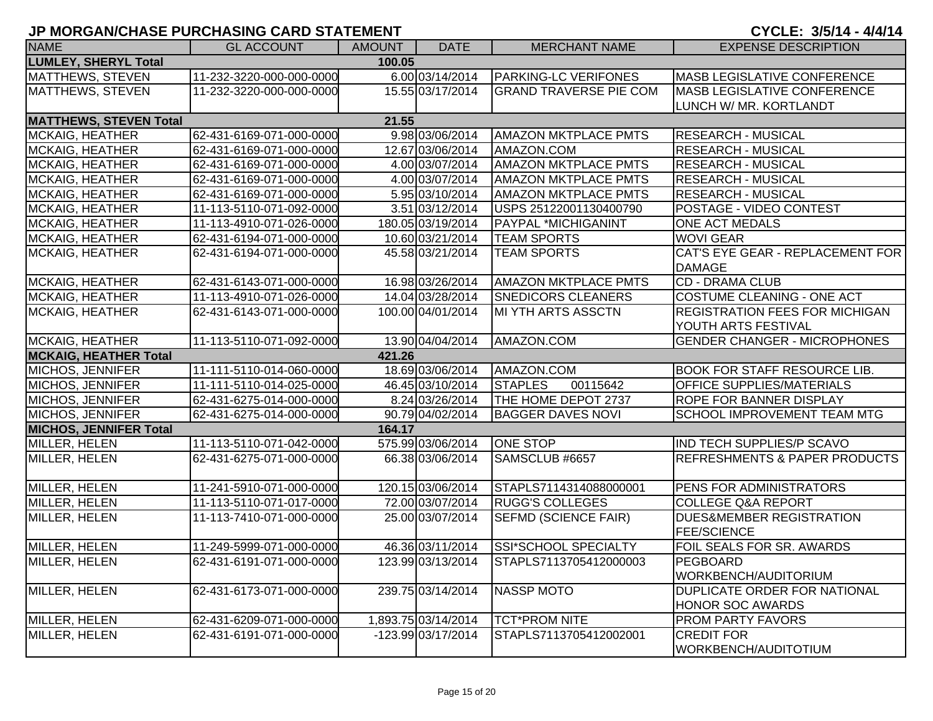| <b>NAME</b>                   | <b>GL ACCOUNT</b>        | AMOUNT | <b>DATE</b>         | <b>MERCHANT NAME</b>          | <b>EXPENSE DESCRIPTION</b>               |
|-------------------------------|--------------------------|--------|---------------------|-------------------------------|------------------------------------------|
| <b>LUMLEY, SHERYL Total</b>   |                          | 100.05 |                     |                               |                                          |
| <b>MATTHEWS, STEVEN</b>       | 11-232-3220-000-000-0000 |        | 6.00 03/14/2014     | <b>PARKING-LC VERIFONES</b>   | MASB LEGISLATIVE CONFERENCE              |
| <b>MATTHEWS, STEVEN</b>       | 11-232-3220-000-000-0000 |        | 15.55 03/17/2014    | <b>GRAND TRAVERSE PIE COM</b> | <b>MASB LEGISLATIVE CONFERENCE</b>       |
|                               |                          |        |                     |                               | LUNCH W/ MR. KORTLANDT                   |
| <b>MATTHEWS, STEVEN Total</b> |                          | 21.55  |                     |                               |                                          |
| <b>MCKAIG, HEATHER</b>        | 62-431-6169-071-000-0000 |        | 9.98 03/06/2014     | <b>AMAZON MKTPLACE PMTS</b>   | <b>RESEARCH - MUSICAL</b>                |
| <b>MCKAIG, HEATHER</b>        | 62-431-6169-071-000-0000 |        | 12.67 03/06/2014    | AMAZON.COM                    | <b>RESEARCH - MUSICAL</b>                |
| <b>MCKAIG, HEATHER</b>        | 62-431-6169-071-000-0000 |        | 4.00 03/07/2014     | <b>AMAZON MKTPLACE PMTS</b>   | <b>RESEARCH - MUSICAL</b>                |
| <b>MCKAIG, HEATHER</b>        | 62-431-6169-071-000-0000 |        | 4.00 03/07/2014     | <b>AMAZON MKTPLACE PMTS</b>   | <b>RESEARCH - MUSICAL</b>                |
| <b>MCKAIG, HEATHER</b>        | 62-431-6169-071-000-0000 |        | 5.95 03/10/2014     | <b>AMAZON MKTPLACE PMTS</b>   | <b>RESEARCH - MUSICAL</b>                |
| MCKAIG, HEATHER               | 11-113-5110-071-092-0000 |        | 3.51 03/12/2014     | USPS 25122001130400790        | <b>POSTAGE - VIDEO CONTEST</b>           |
| <b>MCKAIG, HEATHER</b>        | 11-113-4910-071-026-0000 |        | 180.05 03/19/2014   | PAYPAL *MICHIGANINT           | <b>ONE ACT MEDALS</b>                    |
| <b>MCKAIG, HEATHER</b>        | 62-431-6194-071-000-0000 |        | 10.60 03/21/2014    | <b>TEAM SPORTS</b>            | <b>WOVI GEAR</b>                         |
| <b>MCKAIG, HEATHER</b>        | 62-431-6194-071-000-0000 |        | 45.58 03/21/2014    | <b>TEAM SPORTS</b>            | CAT'S EYE GEAR - REPLACEMENT FOR         |
|                               |                          |        |                     |                               | <b>DAMAGE</b>                            |
| <b>MCKAIG, HEATHER</b>        | 62-431-6143-071-000-0000 |        | 16.98 03/26/2014    | <b>AMAZON MKTPLACE PMTS</b>   | <b>CD - DRAMA CLUB</b>                   |
| <b>MCKAIG, HEATHER</b>        | 11-113-4910-071-026-0000 |        | 14.04 03/28/2014    | <b>SNEDICORS CLEANERS</b>     | <b>COSTUME CLEANING - ONE ACT</b>        |
| <b>MCKAIG, HEATHER</b>        | 62-431-6143-071-000-0000 |        | 100.00 04/01/2014   | <b>MI YTH ARTS ASSCTN</b>     | <b>REGISTRATION FEES FOR MICHIGAN</b>    |
|                               |                          |        |                     |                               | YOUTH ARTS FESTIVAL                      |
| <b>MCKAIG, HEATHER</b>        | 11-113-5110-071-092-0000 |        | 13.90 04/04/2014    | AMAZON.COM                    | <b>GENDER CHANGER - MICROPHONES</b>      |
| <b>MCKAIG, HEATHER Total</b>  |                          | 421.26 |                     |                               |                                          |
| MICHOS, JENNIFER              | 11-111-5110-014-060-0000 |        | 18.69 03/06/2014    | AMAZON.COM                    | <b>BOOK FOR STAFF RESOURCE LIB.</b>      |
| MICHOS, JENNIFER              | 11-111-5110-014-025-0000 |        | 46.45 03/10/2014    | <b>STAPLES</b><br>00115642    | <b>OFFICE SUPPLIES/MATERIALS</b>         |
| <b>MICHOS, JENNIFER</b>       | 62-431-6275-014-000-0000 |        | 8.24 03/26/2014     | THE HOME DEPOT 2737           | <b>ROPE FOR BANNER DISPLAY</b>           |
| <b>MICHOS, JENNIFER</b>       | 62-431-6275-014-000-0000 |        | 90.79 04/02/2014    | <b>BAGGER DAVES NOVI</b>      | <b>SCHOOL IMPROVEMENT TEAM MTG</b>       |
| <b>MICHOS, JENNIFER Total</b> |                          | 164.17 |                     |                               |                                          |
| MILLER, HELEN                 | 11-113-5110-071-042-0000 |        | 575.99 03/06/2014   | <b>ONE STOP</b>               | IND TECH SUPPLIES/P SCAVO                |
| MILLER, HELEN                 | 62-431-6275-071-000-0000 |        | 66.38 03/06/2014    | SAMSCLUB #6657                | <b>REFRESHMENTS &amp; PAPER PRODUCTS</b> |
|                               |                          |        |                     |                               |                                          |
| MILLER, HELEN                 | 11-241-5910-071-000-0000 |        | 120.15 03/06/2014   | STAPLS7114314088000001        | PENS FOR ADMINISTRATORS                  |
| MILLER, HELEN                 | 11-113-5110-071-017-0000 |        | 72.00 03/07/2014    | <b>RUGG'S COLLEGES</b>        | <b>COLLEGE Q&amp;A REPORT</b>            |
| MILLER, HELEN                 | 11-113-7410-071-000-0000 |        | 25.00 03/07/2014    | <b>SEFMD (SCIENCE FAIR)</b>   | <b>DUES&amp;MEMBER REGISTRATION</b>      |
|                               |                          |        |                     |                               | <b>FEE/SCIENCE</b>                       |
| MILLER, HELEN                 | 11-249-5999-071-000-0000 |        | 46.36 03/11/2014    | <b>SSI*SCHOOL SPECIALTY</b>   | <b>FOIL SEALS FOR SR. AWARDS</b>         |
| MILLER, HELEN                 | 62-431-6191-071-000-0000 |        | 123.99 03/13/2014   | STAPLS7113705412000003        | <b>PEGBOARD</b>                          |
|                               |                          |        |                     |                               | WORKBENCH/AUDITORIUM                     |
| MILLER, HELEN                 | 62-431-6173-071-000-0000 |        | 239.75 03/14/2014   | <b>NASSP MOTO</b>             | <b>DUPLICATE ORDER FOR NATIONAL</b>      |
|                               |                          |        |                     |                               | <b>HONOR SOC AWARDS</b>                  |
| MILLER, HELEN                 | 62-431-6209-071-000-0000 |        | 1,893.75 03/14/2014 | <b>TCT*PROM NITE</b>          | <b>PROM PARTY FAVORS</b>                 |
| MILLER, HELEN                 | 62-431-6191-071-000-0000 |        | -123.99 03/17/2014  | STAPLS7113705412002001        | <b>CREDIT FOR</b>                        |
|                               |                          |        |                     |                               | WORKBENCH/AUDITOTIUM                     |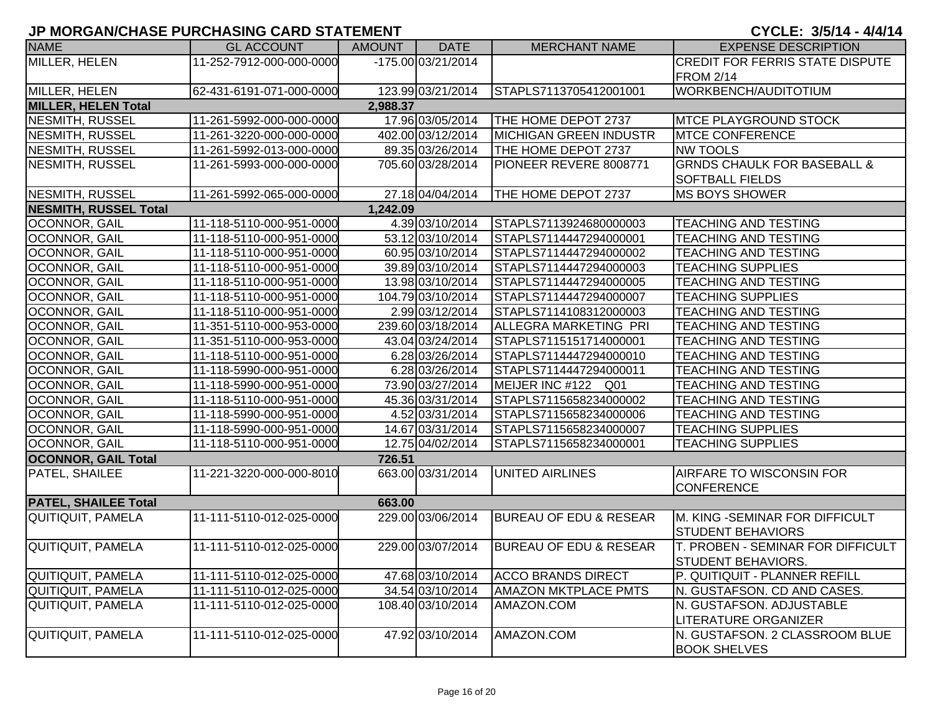| <b>NAME</b>                            | <b>GL ACCOUNT</b>        | AMOUNT   | <b>DATE</b>        | <b>MERCHANT NAME</b>              | <b>EXPENSE DESCRIPTION</b>                                    |  |  |
|----------------------------------------|--------------------------|----------|--------------------|-----------------------------------|---------------------------------------------------------------|--|--|
| MILLER, HELEN                          | 11-252-7912-000-000-0000 |          | -175.00 03/21/2014 |                                   | CREDIT FOR FERRIS STATE DISPUTE                               |  |  |
|                                        |                          |          |                    |                                   | <b>FROM 2/14</b>                                              |  |  |
| MILLER, HELEN                          | 62-431-6191-071-000-0000 |          | 123.99 03/21/2014  | STAPLS7113705412001001            | WORKBENCH/AUDITOTIUM                                          |  |  |
| <b>MILLER, HELEN Total</b><br>2,988.37 |                          |          |                    |                                   |                                                               |  |  |
| NESMITH, RUSSEL                        | 11-261-5992-000-000-0000 |          | 17.96 03/05/2014   | THE HOME DEPOT 2737               | <b>MTCE PLAYGROUND STOCK</b>                                  |  |  |
| <b>NESMITH, RUSSEL</b>                 | 11-261-3220-000-000-0000 |          | 402.00 03/12/2014  | <b>MICHIGAN GREEN INDUSTR</b>     | <b>MTCE CONFERENCE</b>                                        |  |  |
| <b>NESMITH, RUSSEL</b>                 | 11-261-5992-013-000-0000 |          | 89.35 03/26/2014   | THE HOME DEPOT 2737               | <b>NW TOOLS</b>                                               |  |  |
| <b>NESMITH, RUSSEL</b>                 | 11-261-5993-000-000-0000 |          | 705.60 03/28/2014  | PIONEER REVERE 8008771            | <b>GRNDS CHAULK FOR BASEBALL &amp;</b>                        |  |  |
|                                        |                          |          |                    |                                   | <b>SOFTBALL FIELDS</b>                                        |  |  |
| <b>NESMITH, RUSSEL</b>                 | 11-261-5992-065-000-0000 |          | 27.18 04/04/2014   | THE HOME DEPOT 2737               | <b>MS BOYS SHOWER</b>                                         |  |  |
| <b>NESMITH, RUSSEL Total</b>           |                          | 1,242.09 |                    |                                   |                                                               |  |  |
| OCONNOR, GAIL                          | 11-118-5110-000-951-0000 |          | 4.39 03/10/2014    | STAPLS7113924680000003            | <b>TEACHING AND TESTING</b>                                   |  |  |
| OCONNOR, GAIL                          | 11-118-5110-000-951-0000 |          | 53.12 03/10/2014   | STAPLS7114447294000001            | <b>TEACHING AND TESTING</b>                                   |  |  |
| OCONNOR, GAIL                          | 11-118-5110-000-951-0000 |          | 60.95 03/10/2014   | STAPLS7114447294000002            | <b>TEACHING AND TESTING</b>                                   |  |  |
| OCONNOR, GAIL                          | 11-118-5110-000-951-0000 |          | 39.89 03/10/2014   | STAPLS7114447294000003            | <b>TEACHING SUPPLIES</b>                                      |  |  |
| OCONNOR, GAIL                          | 11-118-5110-000-951-0000 |          | 13.98 03/10/2014   | STAPLS7114447294000005            | TEACHING AND TESTING                                          |  |  |
| OCONNOR, GAIL                          | 11-118-5110-000-951-0000 |          | 104.79 03/10/2014  | STAPLS7114447294000007            | <b>TEACHING SUPPLIES</b>                                      |  |  |
| OCONNOR, GAIL                          | 11-118-5110-000-951-0000 |          | 2.99 03/12/2014    | STAPLS7114108312000003            | <b>TEACHING AND TESTING</b>                                   |  |  |
| OCONNOR, GAIL                          | 11-351-5110-000-953-0000 |          | 239.60 03/18/2014  | ALLEGRA MARKETING PRI             | TEACHING AND TESTING                                          |  |  |
| OCONNOR, GAIL                          | 11-351-5110-000-953-0000 |          | 43.04 03/24/2014   | STAPLS7115151714000001            | <b>TEACHING AND TESTING</b>                                   |  |  |
| OCONNOR, GAIL                          | 11-118-5110-000-951-0000 |          | 6.28 03/26/2014    | STAPLS7114447294000010            | <b>TEACHING AND TESTING</b>                                   |  |  |
| OCONNOR, GAIL                          | 11-118-5990-000-951-0000 |          | 6.28 03/26/2014    | STAPLS7114447294000011            | <b>TEACHING AND TESTING</b>                                   |  |  |
| OCONNOR, GAIL                          | 11-118-5990-000-951-0000 |          | 73.90 03/27/2014   | MEIJER INC #122 Q01               | <b>TEACHING AND TESTING</b>                                   |  |  |
| OCONNOR, GAIL                          | 11-118-5110-000-951-0000 |          | 45.36 03/31/2014   | STAPLS7115658234000002            | <b>TEACHING AND TESTING</b>                                   |  |  |
| OCONNOR, GAIL                          | 11-118-5990-000-951-0000 |          | 4.52 03/31/2014    | STAPLS7115658234000006            | <b>TEACHING AND TESTING</b>                                   |  |  |
| OCONNOR, GAIL                          | 11-118-5990-000-951-0000 |          | 14.67 03/31/2014   | STAPLS7115658234000007            | <b>TEACHING SUPPLIES</b>                                      |  |  |
| OCONNOR, GAIL                          | 11-118-5110-000-951-0000 |          | 12.75 04/02/2014   | STAPLS7115658234000001            | <b>TEACHING SUPPLIES</b>                                      |  |  |
| <b>OCONNOR, GAIL Total</b>             |                          | 726.51   |                    |                                   |                                                               |  |  |
| PATEL, SHAILEE                         | 11-221-3220-000-000-8010 |          | 663.00 03/31/2014  | <b>UNITED AIRLINES</b>            | AIRFARE TO WISCONSIN FOR                                      |  |  |
|                                        |                          |          |                    |                                   | <b>CONFERENCE</b>                                             |  |  |
| <b>PATEL, SHAILEE Total</b>            |                          | 663.00   |                    |                                   |                                                               |  |  |
| QUITIQUIT, PAMELA                      | 11-111-5110-012-025-0000 |          | 229.00 03/06/2014  | <b>BUREAU OF EDU &amp; RESEAR</b> | <b>M. KING -SEMINAR FOR DIFFICULT</b>                         |  |  |
| <b>QUITIQUIT, PAMELA</b>               | 11-111-5110-012-025-0000 |          | 229.00 03/07/2014  | <b>BUREAU OF EDU &amp; RESEAR</b> | <b>STUDENT BEHAVIORS</b><br>T. PROBEN - SEMINAR FOR DIFFICULT |  |  |
|                                        |                          |          |                    |                                   | STUDENT BEHAVIORS.                                            |  |  |
| <b>QUITIQUIT, PAMELA</b>               | 11-111-5110-012-025-0000 |          | 47.68 03/10/2014   | <b>ACCO BRANDS DIRECT</b>         | P. QUITIQUIT - PLANNER REFILL                                 |  |  |
| QUITIQUIT, PAMELA                      | 11-111-5110-012-025-0000 |          | 34.54 03/10/2014   | <b>AMAZON MKTPLACE PMTS</b>       | N. GUSTAFSON. CD AND CASES.                                   |  |  |
| QUITIQUIT, PAMELA                      | 11-111-5110-012-025-0000 |          | 108.40 03/10/2014  | AMAZON.COM                        | N. GUSTAFSON. ADJUSTABLE                                      |  |  |
|                                        |                          |          |                    |                                   | <b>LITERATURE ORGANIZER</b>                                   |  |  |
| <b>QUITIQUIT, PAMELA</b>               | 11-111-5110-012-025-0000 |          | 47.92 03/10/2014   | AMAZON.COM                        | N. GUSTAFSON. 2 CLASSROOM BLUE                                |  |  |
|                                        |                          |          |                    |                                   | <b>BOOK SHELVES</b>                                           |  |  |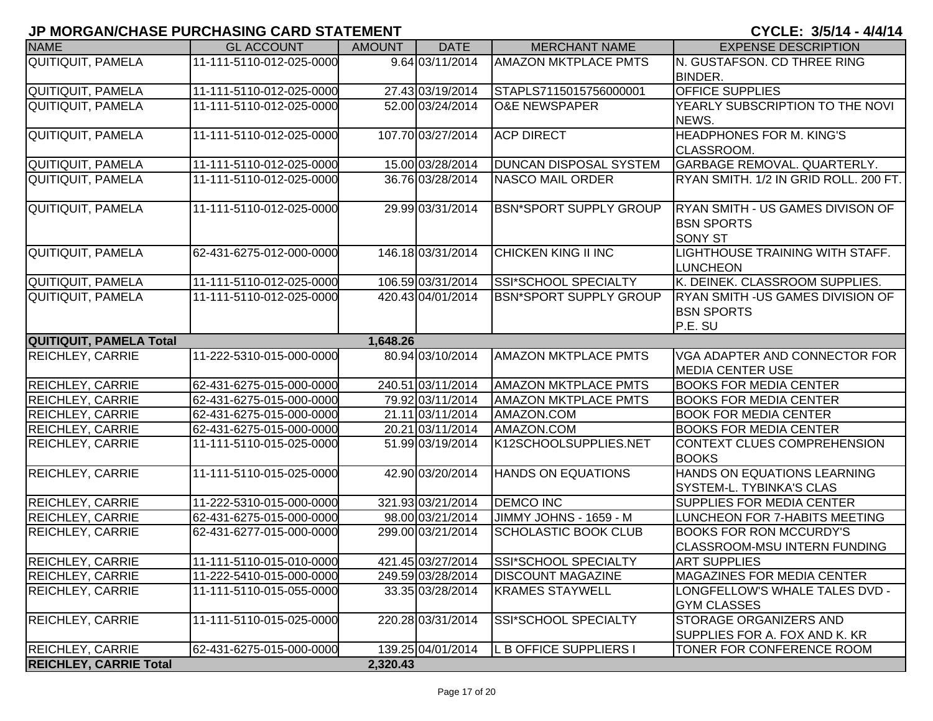| <b>NAME</b>                   | <b>GL ACCOUNT</b>        | <b>AMOUNT</b> | <b>DATE</b>       | <b>MERCHANT NAME</b>          | <b>EXPENSE DESCRIPTION</b>               |
|-------------------------------|--------------------------|---------------|-------------------|-------------------------------|------------------------------------------|
| QUITIQUIT, PAMELA             | 11-111-5110-012-025-0000 |               | 9.64 03/11/2014   | <b>AMAZON MKTPLACE PMTS</b>   | <b>N. GUSTAFSON. CD THREE RING</b>       |
|                               |                          |               |                   |                               | <b>BINDER.</b>                           |
| <b>QUITIQUIT, PAMELA</b>      | 11-111-5110-012-025-0000 |               | 27.43 03/19/2014  | STAPLS7115015756000001        | <b>OFFICE SUPPLIES</b>                   |
| <b>QUITIQUIT, PAMELA</b>      | 11-111-5110-012-025-0000 |               | 52.00 03/24/2014  | <b>O&amp;E NEWSPAPER</b>      | YEARLY SUBSCRIPTION TO THE NOVI          |
|                               |                          |               |                   |                               | NEWS.                                    |
| QUITIQUIT, PAMELA             | 11-111-5110-012-025-0000 |               | 107.70 03/27/2014 | <b>ACP DIRECT</b>             | <b>HEADPHONES FOR M. KING'S</b>          |
|                               |                          |               |                   |                               | CLASSROOM.                               |
| QUITIQUIT, PAMELA             | 11-111-5110-012-025-0000 |               | 15.00 03/28/2014  | <b>DUNCAN DISPOSAL SYSTEM</b> | <b>GARBAGE REMOVAL. QUARTERLY.</b>       |
| <b>QUITIQUIT, PAMELA</b>      | 11-111-5110-012-025-0000 |               | 36.76 03/28/2014  | <b>NASCO MAIL ORDER</b>       | RYAN SMITH. 1/2 IN GRID ROLL. 200 FT.    |
| QUITIQUIT, PAMELA             | 11-111-5110-012-025-0000 |               | 29.99 03/31/2014  | <b>BSN*SPORT SUPPLY GROUP</b> | RYAN SMITH - US GAMES DIVISON OF         |
|                               |                          |               |                   |                               | <b>IBSN SPORTS</b>                       |
|                               |                          |               |                   |                               | <b>SONY ST</b>                           |
| <b>QUITIQUIT, PAMELA</b>      | 62-431-6275-012-000-0000 |               | 146.18 03/31/2014 | CHICKEN KING II INC           | LIGHTHOUSE TRAINING WITH STAFF.          |
|                               |                          |               |                   |                               | LUNCHEON                                 |
| QUITIQUIT, PAMELA             | 11-111-5110-012-025-0000 |               | 106.59 03/31/2014 | SSI*SCHOOL SPECIALTY          | K. DEINEK. CLASSROOM SUPPLIES.           |
| <b>QUITIQUIT, PAMELA</b>      | 11-111-5110-012-025-0000 |               | 420.43 04/01/2014 | <b>BSN*SPORT SUPPLY GROUP</b> | <b>RYAN SMITH - US GAMES DIVISION OF</b> |
|                               |                          |               |                   |                               | <b>BSN SPORTS</b>                        |
|                               |                          |               |                   |                               | P.E. SU                                  |
| QUITIQUIT, PAMELA Total       |                          | 1,648.26      |                   |                               |                                          |
| <b>REICHLEY, CARRIE</b>       | 11-222-5310-015-000-0000 |               | 80.94 03/10/2014  | <b>AMAZON MKTPLACE PMTS</b>   | VGA ADAPTER AND CONNECTOR FOR            |
|                               |                          |               |                   |                               | <b>MEDIA CENTER USE</b>                  |
| REICHLEY, CARRIE              | 62-431-6275-015-000-0000 |               | 240.51 03/11/2014 | <b>AMAZON MKTPLACE PMTS</b>   | <b>BOOKS FOR MEDIA CENTER</b>            |
| <b>REICHLEY, CARRIE</b>       | 62-431-6275-015-000-0000 |               | 79.92 03/11/2014  | <b>AMAZON MKTPLACE PMTS</b>   | <b>BOOKS FOR MEDIA CENTER</b>            |
| <b>REICHLEY, CARRIE</b>       | 62-431-6275-015-000-0000 |               | 21.11 03/11/2014  | AMAZON.COM                    | <b>BOOK FOR MEDIA CENTER</b>             |
| <b>REICHLEY, CARRIE</b>       | 62-431-6275-015-000-0000 |               | 20.21 03/11/2014  | AMAZON.COM                    | <b>BOOKS FOR MEDIA CENTER</b>            |
| <b>REICHLEY, CARRIE</b>       | 11-111-5110-015-025-0000 |               | 51.99 03/19/2014  | K12SCHOOLSUPPLIES.NET         | CONTEXT CLUES COMPREHENSION              |
|                               |                          |               |                   |                               | <b>BOOKS</b>                             |
| <b>REICHLEY, CARRIE</b>       | 11-111-5110-015-025-0000 |               | 42.90 03/20/2014  | <b>HANDS ON EQUATIONS</b>     | HANDS ON EQUATIONS LEARNING              |
|                               |                          |               |                   |                               | <b>SYSTEM-L. TYBINKA'S CLAS</b>          |
| <b>REICHLEY, CARRIE</b>       | 11-222-5310-015-000-0000 |               | 321.93 03/21/2014 | <b>DEMCO INC</b>              | SUPPLIES FOR MEDIA CENTER                |
| <b>REICHLEY, CARRIE</b>       | 62-431-6275-015-000-0000 |               | 98.00 03/21/2014  | JIMMY JOHNS - 1659 - M        | LUNCHEON FOR 7-HABITS MEETING            |
| <b>REICHLEY, CARRIE</b>       | 62-431-6277-015-000-0000 |               | 299.00 03/21/2014 | <b>SCHOLASTIC BOOK CLUB</b>   | <b>BOOKS FOR RON MCCURDY'S</b>           |
|                               |                          |               |                   |                               | <b>CLASSROOM-MSU INTERN FUNDING</b>      |
| <b>REICHLEY, CARRIE</b>       | 11-111-5110-015-010-0000 |               | 421.45 03/27/2014 | SSI*SCHOOL SPECIALTY          | <b>ART SUPPLIES</b>                      |
| <b>REICHLEY, CARRIE</b>       | 11-222-5410-015-000-0000 |               | 249.59 03/28/2014 | <b>DISCOUNT MAGAZINE</b>      | <b>MAGAZINES FOR MEDIA CENTER</b>        |
| <b>REICHLEY, CARRIE</b>       | 11-111-5110-015-055-0000 |               | 33.35 03/28/2014  | <b>KRAMES STAYWELL</b>        | LONGFELLOW'S WHALE TALES DVD -           |
|                               |                          |               |                   |                               | <b>GYM CLASSES</b>                       |
| <b>REICHLEY, CARRIE</b>       | 11-111-5110-015-025-0000 |               | 220.28 03/31/2014 | SSI*SCHOOL SPECIALTY          | <b>STORAGE ORGANIZERS AND</b>            |
|                               |                          |               |                   |                               | SUPPLIES FOR A. FOX AND K. KR            |
| <b>REICHLEY, CARRIE</b>       | 62-431-6275-015-000-0000 |               | 139.25 04/01/2014 | L B OFFICE SUPPLIERS I        | <b>TONER FOR CONFERENCE ROOM</b>         |
| <b>REICHLEY, CARRIE Total</b> |                          | 2,320.43      |                   |                               |                                          |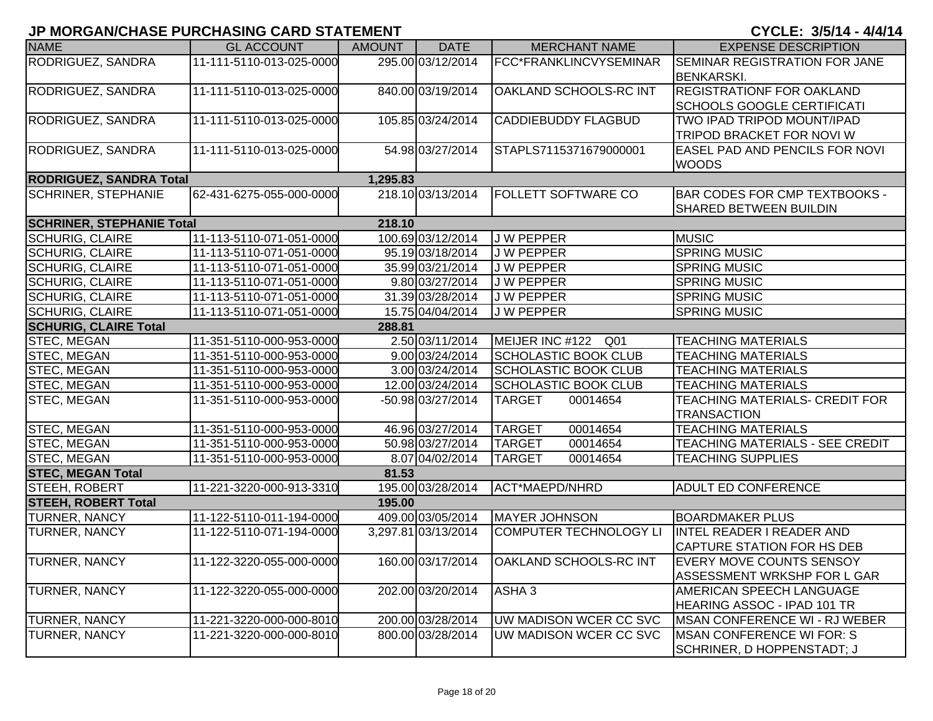| <b>NAME</b>                      | <b>GL ACCOUNT</b>        | <b>AMOUNT</b> | <b>DATE</b>         | <b>MERCHANT NAME</b>          | <b>EXPENSE DESCRIPTION</b>            |
|----------------------------------|--------------------------|---------------|---------------------|-------------------------------|---------------------------------------|
| RODRIGUEZ, SANDRA                | 11-111-5110-013-025-0000 |               | 295.00 03/12/2014   | FCC*FRANKLINCVYSEMINAR        | <b>SEMINAR REGISTRATION FOR JANE</b>  |
|                                  |                          |               |                     |                               | <b>BENKARSKI.</b>                     |
| RODRIGUEZ, SANDRA                | 11-111-5110-013-025-0000 |               | 840.00 03/19/2014   | OAKLAND SCHOOLS-RC INT        | <b>REGISTRATIONF FOR OAKLAND</b>      |
|                                  |                          |               |                     |                               | <b>SCHOOLS GOOGLE CERTIFICATI</b>     |
| RODRIGUEZ, SANDRA                | 11-111-5110-013-025-0000 |               | 105.85 03/24/2014   | <b>CADDIEBUDDY FLAGBUD</b>    | TWO IPAD TRIPOD MOUNT/IPAD            |
|                                  |                          |               |                     |                               | TRIPOD BRACKET FOR NOVI W             |
| RODRIGUEZ, SANDRA                | 11-111-5110-013-025-0000 |               | 54.98 03/27/2014    | STAPLS7115371679000001        | <b>EASEL PAD AND PENCILS FOR NOVI</b> |
|                                  |                          |               |                     |                               | <b>WOODS</b>                          |
| <b>RODRIGUEZ, SANDRA Total</b>   |                          | 1,295.83      |                     |                               |                                       |
| <b>SCHRINER, STEPHANIE</b>       | 62-431-6275-055-000-0000 |               | 218.10 03/13/2014   | <b>FOLLETT SOFTWARE CO</b>    | <b>BAR CODES FOR CMP TEXTBOOKS -</b>  |
|                                  |                          |               |                     |                               | <b>SHARED BETWEEN BUILDIN</b>         |
| <b>SCHRINER, STEPHANIE Total</b> |                          | 218.10        |                     |                               |                                       |
| <b>SCHURIG, CLAIRE</b>           | 11-113-5110-071-051-0000 |               | 100.69 03/12/2014   | <b>JW PEPPER</b>              | <b>MUSIC</b>                          |
| <b>SCHURIG, CLAIRE</b>           | 11-113-5110-071-051-0000 |               | 95.19 03/18/2014    | J W PEPPER                    | <b>SPRING MUSIC</b>                   |
| <b>SCHURIG, CLAIRE</b>           | 11-113-5110-071-051-0000 |               | 35.99 03/21/2014    | J W PEPPER                    | <b>SPRING MUSIC</b>                   |
| <b>SCHURIG, CLAIRE</b>           | 11-113-5110-071-051-0000 |               | 9.80 03/27/2014     | <b>JW PEPPER</b>              | <b>SPRING MUSIC</b>                   |
| <b>SCHURIG, CLAIRE</b>           | 11-113-5110-071-051-0000 |               | 31.39 03/28/2014    | <b>JW PEPPER</b>              | <b>SPRING MUSIC</b>                   |
| <b>SCHURIG, CLAIRE</b>           | 11-113-5110-071-051-0000 |               | 15.75 04/04/2014    | <b>JW PEPPER</b>              | <b>SPRING MUSIC</b>                   |
| <b>SCHURIG, CLAIRE Total</b>     |                          | 288.81        |                     |                               |                                       |
| STEC, MEGAN                      | 11-351-5110-000-953-0000 |               | 2.50 03/11/2014     | MEIJER INC #122 Q01           | <b>TEACHING MATERIALS</b>             |
| STEC, MEGAN                      | 11-351-5110-000-953-0000 |               | 9.00 03/24/2014     | <b>SCHOLASTIC BOOK CLUB</b>   | <b>TEACHING MATERIALS</b>             |
| STEC, MEGAN                      | 11-351-5110-000-953-0000 |               | 3.00 03/24/2014     | <b>SCHOLASTIC BOOK CLUB</b>   | <b>TEACHING MATERIALS</b>             |
| STEC, MEGAN                      | 11-351-5110-000-953-0000 |               | 12.00 03/24/2014    | <b>SCHOLASTIC BOOK CLUB</b>   | <b>TEACHING MATERIALS</b>             |
| STEC, MEGAN                      | 11-351-5110-000-953-0000 |               | -50.98 03/27/2014   | <b>TARGET</b><br>00014654     | TEACHING MATERIALS- CREDIT FOR        |
|                                  |                          |               |                     |                               | <b>TRANSACTION</b>                    |
| STEC, MEGAN                      | 11-351-5110-000-953-0000 |               | 46.96 03/27/2014    | 00014654<br><b>TARGET</b>     | <b>TEACHING MATERIALS</b>             |
| STEC, MEGAN                      | 11-351-5110-000-953-0000 |               | 50.98 03/27/2014    | <b>TARGET</b><br>00014654     | TEACHING MATERIALS - SEE CREDIT       |
| STEC, MEGAN                      | 11-351-5110-000-953-0000 |               | 8.07 04/02/2014     | <b>TARGET</b><br>00014654     | <b>TEACHING SUPPLIES</b>              |
| <b>STEC, MEGAN Total</b>         |                          | 81.53         |                     |                               |                                       |
| STEEH, ROBERT                    | 11-221-3220-000-913-3310 |               | 195.00 03/28/2014   | ACT*MAEPD/NHRD                | <b>ADULT ED CONFERENCE</b>            |
| <b>STEEH, ROBERT Total</b>       |                          | 195.00        |                     |                               |                                       |
| TURNER, NANCY                    | 11-122-5110-011-194-0000 |               | 409.00 03/05/2014   | MAYER JOHNSON                 | <b>BOARDMAKER PLUS</b>                |
| TURNER, NANCY                    | 11-122-5110-071-194-0000 |               | 3,297.81 03/13/2014 | <b>COMPUTER TECHNOLOGY LI</b> | INTEL READER I READER AND             |
|                                  |                          |               |                     |                               | <b>CAPTURE STATION FOR HS DEB</b>     |
| <b>TURNER, NANCY</b>             | 11-122-3220-055-000-0000 |               |                     |                               | IEVERY MOVE COUNTS SENSOY             |
|                                  |                          |               |                     |                               | <b>ASSESSMENT WRKSHP FOR L GAR</b>    |
| <b>TURNER, NANCY</b>             | 11-122-3220-055-000-0000 |               | 202.00 03/20/2014   | ASHA <sub>3</sub>             | <b>AMERICAN SPEECH LANGUAGE</b>       |
|                                  |                          |               |                     |                               | HEARING ASSOC - IPAD 101 TR           |
| TURNER, NANCY                    | 11-221-3220-000-000-8010 |               | 200.00 03/28/2014   | UW MADISON WCER CC SVC        | <b>MSAN CONFERENCE WI - RJ WEBER</b>  |
| TURNER, NANCY                    | 11-221-3220-000-000-8010 |               | 800.00 03/28/2014   | UW MADISON WCER CC SVC        | <b>IMSAN CONFERENCE WI FOR: S</b>     |
|                                  |                          |               |                     |                               | SCHRINER, D HOPPENSTADT; J            |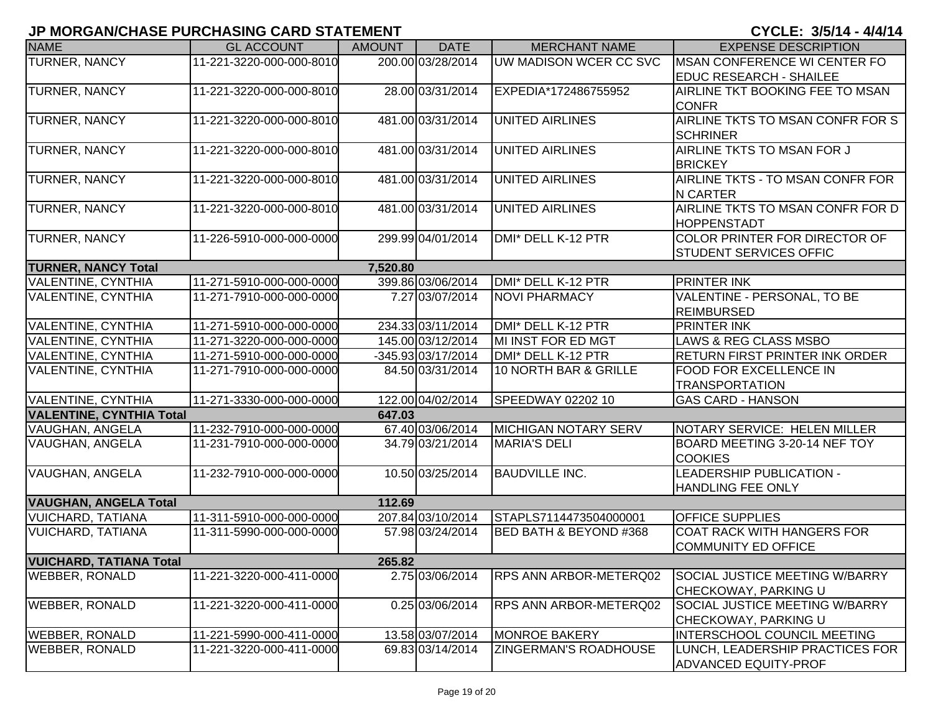| <b>NAME</b>                     | <b>GL ACCOUNT</b>        | <b>AMOUNT</b> | <b>DATE</b>        | <b>MERCHANT NAME</b>          | <b>EXPENSE DESCRIPTION</b>            |
|---------------------------------|--------------------------|---------------|--------------------|-------------------------------|---------------------------------------|
| TURNER, NANCY                   | 11-221-3220-000-000-8010 |               | 200.00 03/28/2014  | UW MADISON WCER CC SVC        | <b>MSAN CONFERENCE WI CENTER FO</b>   |
|                                 |                          |               |                    |                               | <b>EDUC RESEARCH - SHAILEE</b>        |
| <b>TURNER, NANCY</b>            | 11-221-3220-000-000-8010 |               | 28.00 03/31/2014   | EXPEDIA*172486755952          | AIRLINE TKT BOOKING FEE TO MSAN       |
|                                 |                          |               |                    |                               | <b>CONFR</b>                          |
| TURNER, NANCY                   | 11-221-3220-000-000-8010 |               | 481.00 03/31/2014  | <b>UNITED AIRLINES</b>        | AIRLINE TKTS TO MSAN CONFR FOR S      |
|                                 |                          |               |                    |                               | <b>SCHRINER</b>                       |
| <b>TURNER, NANCY</b>            | 11-221-3220-000-000-8010 |               | 481.00 03/31/2014  | <b>UNITED AIRLINES</b>        | AIRLINE TKTS TO MSAN FOR J            |
|                                 |                          |               |                    |                               | <b>BRICKEY</b>                        |
| TURNER, NANCY                   | 11-221-3220-000-000-8010 |               | 481.00 03/31/2014  | <b>UNITED AIRLINES</b>        | AIRLINE TKTS - TO MSAN CONFR FOR      |
|                                 |                          |               |                    |                               | <b>N CARTER</b>                       |
| TURNER, NANCY                   | 11-221-3220-000-000-8010 |               | 481.00 03/31/2014  | <b>UNITED AIRLINES</b>        | AIRLINE TKTS TO MSAN CONFR FOR D      |
|                                 |                          |               |                    |                               | <b>HOPPENSTADT</b>                    |
| TURNER, NANCY                   | 11-226-5910-000-000-0000 |               | 299.99 04/01/2014  | DMI* DELL K-12 PTR            | COLOR PRINTER FOR DIRECTOR OF         |
|                                 |                          |               |                    |                               | <b>STUDENT SERVICES OFFIC</b>         |
| <b>TURNER, NANCY Total</b>      |                          | 7,520.80      |                    |                               |                                       |
| VALENTINE, CYNTHIA              | 11-271-5910-000-000-0000 |               | 399.86 03/06/2014  | DMI* DELL K-12 PTR            | <b>PRINTER INK</b>                    |
| VALENTINE, CYNTHIA              | 11-271-7910-000-000-0000 |               | 7.27 03/07/2014    | <b>NOVI PHARMACY</b>          | VALENTINE - PERSONAL, TO BE           |
|                                 |                          |               |                    |                               | <b>REIMBURSED</b>                     |
| VALENTINE, CYNTHIA              | 11-271-5910-000-000-0000 |               | 234.33 03/11/2014  | DMI* DELL K-12 PTR            | <b>PRINTER INK</b>                    |
| VALENTINE, CYNTHIA              | 11-271-3220-000-000-0000 |               | 145.00 03/12/2014  | MI INST FOR ED MGT            | LAWS & REG CLASS MSBO                 |
| VALENTINE, CYNTHIA              | 11-271-5910-000-000-0000 |               | -345.93 03/17/2014 | DMI* DELL K-12 PTR            | <b>RETURN FIRST PRINTER INK ORDER</b> |
| VALENTINE, CYNTHIA              | 11-271-7910-000-000-0000 |               | 84.50 03/31/2014   | 10 NORTH BAR & GRILLE         | FOOD FOR EXCELLENCE IN                |
|                                 |                          |               |                    |                               | <b>TRANSPORTATION</b>                 |
| VALENTINE, CYNTHIA              | 11-271-3330-000-000-0000 |               | 122.00 04/02/2014  | SPEEDWAY 02202 10             | <b>GAS CARD - HANSON</b>              |
| <b>VALENTINE, CYNTHIA Total</b> |                          | 647.03        |                    |                               |                                       |
| VAUGHAN, ANGELA                 | 11-232-7910-000-000-0000 |               | 67.40 03/06/2014   | <b>MICHIGAN NOTARY SERV</b>   | NOTARY SERVICE: HELEN MILLER          |
| VAUGHAN, ANGELA                 | 11-231-7910-000-000-0000 |               | 34.79 03/21/2014   | <b>MARIA'S DELI</b>           | BOARD MEETING 3-20-14 NEF TOY         |
|                                 |                          |               |                    |                               | <b>COOKIES</b>                        |
| VAUGHAN, ANGELA                 | 11-232-7910-000-000-0000 |               | 10.50 03/25/2014   | <b>BAUDVILLE INC.</b>         | <b>LEADERSHIP PUBLICATION -</b>       |
|                                 |                          |               |                    |                               | HANDLING FEE ONLY                     |
| <b>VAUGHAN, ANGELA Total</b>    |                          | 112.69        |                    |                               |                                       |
| <b>VUICHARD, TATIANA</b>        | 11-311-5910-000-000-0000 |               | 207.84 03/10/2014  | STAPLS7114473504000001        | <b>OFFICE SUPPLIES</b>                |
| <b>VUICHARD, TATIANA</b>        | 11-311-5990-000-000-0000 |               | 57.98 03/24/2014   | BED BATH & BEYOND #368        | <b>COAT RACK WITH HANGERS FOR</b>     |
|                                 |                          |               |                    |                               | <b>COMMUNITY ED OFFICE</b>            |
| <b>VUICHARD, TATIANA Total</b>  |                          | 265.82        |                    |                               |                                       |
| <b>WEBBER, RONALD</b>           | 11-221-3220-000-411-0000 |               | 2.75 03/06/2014    | <b>RPS ANN ARBOR-METERQ02</b> | SOCIAL JUSTICE MEETING W/BARRY        |
|                                 |                          |               |                    |                               | <b>CHECKOWAY, PARKING U</b>           |
| <b>WEBBER, RONALD</b>           | 11-221-3220-000-411-0000 |               | 0.25 03/06/2014    | <b>RPS ANN ARBOR-METERQ02</b> | SOCIAL JUSTICE MEETING W/BARRY        |
|                                 |                          |               |                    |                               | CHECKOWAY, PARKING U                  |
| <b>WEBBER, RONALD</b>           | 11-221-5990-000-411-0000 |               | 13.58 03/07/2014   | <b>MONROE BAKERY</b>          | <b>INTERSCHOOL COUNCIL MEETING</b>    |
| <b>WEBBER, RONALD</b>           | 11-221-3220-000-411-0000 |               | 69.83 03/14/2014   | <b>ZINGERMAN'S ROADHOUSE</b>  | LUNCH, LEADERSHIP PRACTICES FOR       |
|                                 |                          |               |                    |                               | <b>ADVANCED EQUITY-PROF</b>           |